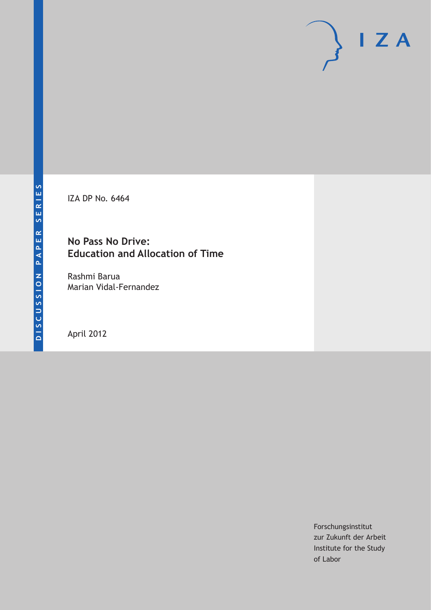IZA DP No. 6464

# **No Pass No Drive: Education and Allocation of Time**

Rashmi Barua Marian Vidal-Fernandez

April 2012

Forschungsinstitut zur Zukunft der Arbeit Institute for the Study of Labor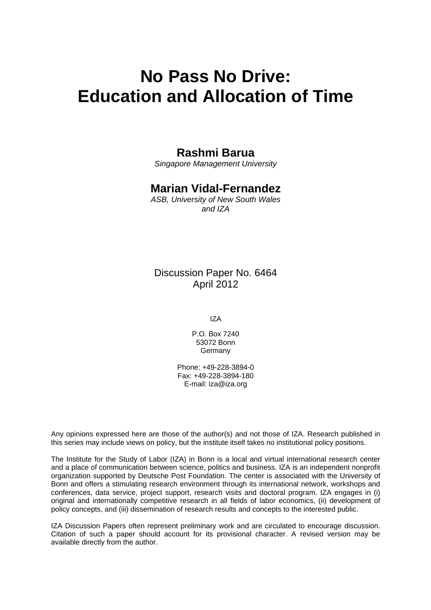# **No Pass No Drive: Education and Allocation of Time**

# **Rashmi Barua**

*Singapore Management University* 

# **Marian Vidal-Fernandez**

*ASB, University of New South Wales and IZA* 

Discussion Paper No. 6464 April 2012

IZA

P.O. Box 7240 53072 Bonn Germany

Phone: +49-228-3894-0 Fax: +49-228-3894-180 E-mail: [iza@iza.org](mailto:iza@iza.org)

Any opinions expressed here are those of the author(s) and not those of IZA. Research published in this series may include views on policy, but the institute itself takes no institutional policy positions.

The Institute for the Study of Labor (IZA) in Bonn is a local and virtual international research center and a place of communication between science, politics and business. IZA is an independent nonprofit organization supported by Deutsche Post Foundation. The center is associated with the University of Bonn and offers a stimulating research environment through its international network, workshops and conferences, data service, project support, research visits and doctoral program. IZA engages in (i) original and internationally competitive research in all fields of labor economics, (ii) development of policy concepts, and (iii) dissemination of research results and concepts to the interested public.

IZA Discussion Papers often represent preliminary work and are circulated to encourage discussion. Citation of such a paper should account for its provisional character. A revised version may be available directly from the author.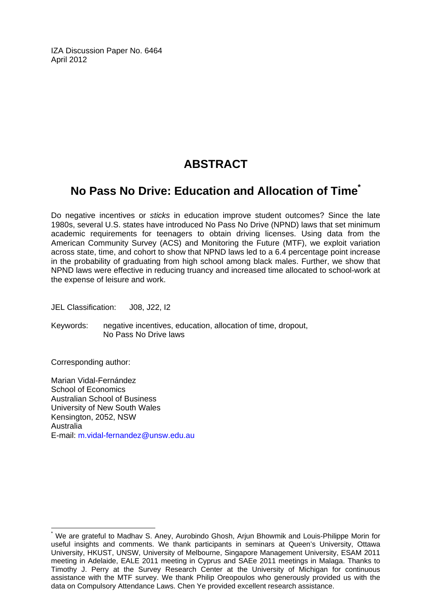IZA Discussion Paper No. 6464 April 2012

# **ABSTRACT**

# **No Pass No Drive: Education and Allocation of Time[\\*](#page-2-0)**

Do negative incentives or *sticks* in education improve student outcomes? Since the late 1980s, several U.S. states have introduced No Pass No Drive (NPND) laws that set minimum academic requirements for teenagers to obtain driving licenses. Using data from the American Community Survey (ACS) and Monitoring the Future (MTF), we exploit variation across state, time, and cohort to show that NPND laws led to a 6.4 percentage point increase in the probability of graduating from high school among black males. Further, we show that NPND laws were effective in reducing truancy and increased time allocated to school-work at the expense of leisure and work.

JEL Classification: J08, J22, I2

Keywords: negative incentives, education, allocation of time, dropout, No Pass No Drive laws

Corresponding author:

 $\overline{a}$ 

Marian Vidal-Fernández School of Economics Australian School of Business University of New South Wales Kensington, 2052, NSW Australia E-mail: [m.vidal-fernandez@unsw.edu.au](mailto:m.vidal-fernandez@unsw.edu.au) 

<span id="page-2-0"></span><sup>\*</sup> We are grateful to Madhav S. Aney, Aurobindo Ghosh, Arjun Bhowmik and Louis-Philippe Morin for useful insights and comments. We thank participants in seminars at Queen's University, Ottawa University, HKUST, UNSW, University of Melbourne, Singapore Management University, ESAM 2011 meeting in Adelaide, EALE 2011 meeting in Cyprus and SAEe 2011 meetings in Malaga. Thanks to Timothy J. Perry at the Survey Research Center at the University of Michigan for continuous assistance with the MTF survey. We thank Philip Oreopoulos who generously provided us with the data on Compulsory Attendance Laws. Chen Ye provided excellent research assistance.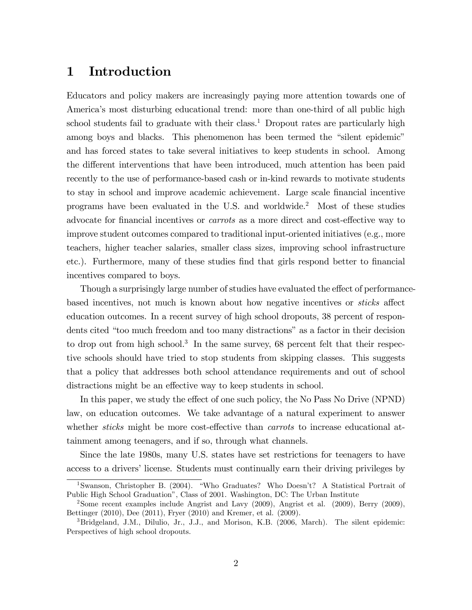### 1 Introduction

Educators and policy makers are increasingly paying more attention towards one of America's most disturbing educational trend: more than one-third of all public high school students fail to graduate with their class.<sup>1</sup> Dropout rates are particularly high among boys and blacks. This phenomenon has been termed the "silent epidemic" and has forced states to take several initiatives to keep students in school. Among the different interventions that have been introduced, much attention has been paid recently to the use of performance-based cash or in-kind rewards to motivate students to stay in school and improve academic achievement. Large scale financial incentive programs have been evaluated in the U.S. and worldwide.<sup>2</sup> Most of these studies advocate for financial incentives or *carrots* as a more direct and cost-effective way to improve student outcomes compared to traditional input-oriented initiatives (e.g., more teachers, higher teacher salaries, smaller class sizes, improving school infrastructure etc.). Furthermore, many of these studies find that girls respond better to financial incentives compared to boys.

Though a surprisingly large number of studies have evaluated the effect of performancebased incentives, not much is known about how negative incentives or *sticks* affect education outcomes. In a recent survey of high school dropouts, 38 percent of respondents cited "too much freedom and too many distractions" as a factor in their decision to drop out from high school.<sup>3</sup> In the same survey, 68 percent felt that their respective schools should have tried to stop students from skipping classes. This suggests that a policy that addresses both school attendance requirements and out of school distractions might be an effective way to keep students in school.

In this paper, we study the effect of one such policy, the No Pass No Drive (NPND) law, on education outcomes. We take advantage of a natural experiment to answer whether *sticks* might be more cost-effective than *carrots* to increase educational attainment among teenagers, and if so, through what channels.

Since the late 1980s, many U.S. states have set restrictions for teenagers to have access to a drivers' license. Students must continually earn their driving privileges by

<sup>&</sup>lt;sup>1</sup>Swanson, Christopher B. (2004). "Who Graduates? Who Doesn't? A Statistical Portrait of Public High School Graduationî, Class of 2001. Washington, DC: The Urban Institute

<sup>2</sup>Some recent examples include Angrist and Lavy (2009), Angrist et al. (2009), Berry (2009), Bettinger (2010), Dee (2011), Fryer (2010) and Kremer, et al. (2009).

<sup>3</sup>Bridgeland, J.M., Dilulio, Jr., J.J., and Morison, K.B. (2006, March). The silent epidemic: Perspectives of high school dropouts.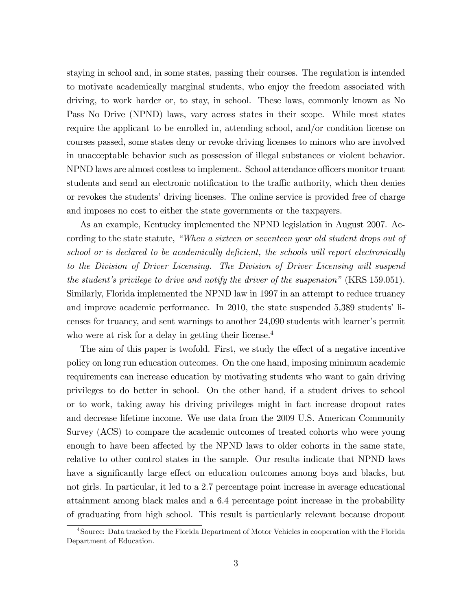staying in school and, in some states, passing their courses. The regulation is intended to motivate academically marginal students, who enjoy the freedom associated with driving, to work harder or, to stay, in school. These laws, commonly known as No Pass No Drive (NPND) laws, vary across states in their scope. While most states require the applicant to be enrolled in, attending school, and/or condition license on courses passed, some states deny or revoke driving licenses to minors who are involved in unacceptable behavior such as possession of illegal substances or violent behavior. NPND laws are almost costless to implement. School attendance officers monitor truant students and send an electronic notification to the traffic authority, which then denies or revokes the students' driving licenses. The online service is provided free of charge and imposes no cost to either the state governments or the taxpayers.

As an example, Kentucky implemented the NPND legislation in August 2007. According to the state statute, "When a sixteen or seventeen year old student drops out of school or is declared to be academically deficient, the schools will report electronically to the Division of Driver Licensing. The Division of Driver Licensing will suspend the student's privilege to drive and notify the driver of the suspension" (KRS 159.051). Similarly, Florida implemented the NPND law in 1997 in an attempt to reduce truancy and improve academic performance. In 2010, the state suspended  $5,389$  students' licenses for truancy, and sent warnings to another 24,090 students with learner's permit who were at risk for a delay in getting their license.<sup>4</sup>

The aim of this paper is twofold. First, we study the effect of a negative incentive policy on long run education outcomes. On the one hand, imposing minimum academic requirements can increase education by motivating students who want to gain driving privileges to do better in school. On the other hand, if a student drives to school or to work, taking away his driving privileges might in fact increase dropout rates and decrease lifetime income. We use data from the 2009 U.S. American Community Survey (ACS) to compare the academic outcomes of treated cohorts who were young enough to have been affected by the NPND laws to older cohorts in the same state, relative to other control states in the sample. Our results indicate that NPND laws have a significantly large effect on education outcomes among boys and blacks, but not girls. In particular, it led to a 2.7 percentage point increase in average educational attainment among black males and a 6.4 percentage point increase in the probability of graduating from high school. This result is particularly relevant because dropout

<sup>4</sup>Source: Data tracked by the Florida Department of Motor Vehicles in cooperation with the Florida Department of Education.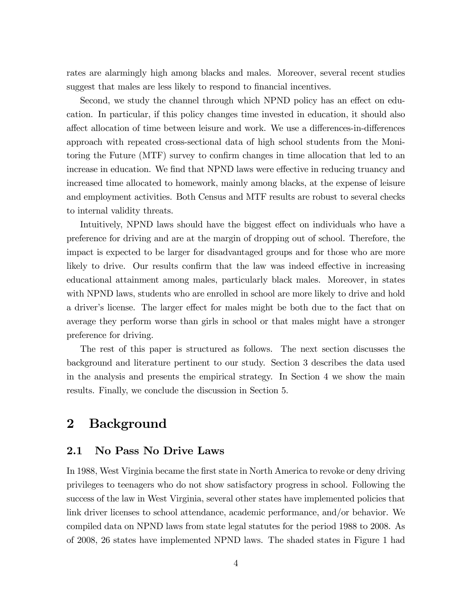rates are alarmingly high among blacks and males. Moreover, several recent studies suggest that males are less likely to respond to financial incentives.

Second, we study the channel through which NPND policy has an effect on education. In particular, if this policy changes time invested in education, it should also affect allocation of time between leisure and work. We use a differences-in-differences approach with repeated cross-sectional data of high school students from the Monitoring the Future (MTF) survey to confirm changes in time allocation that led to an increase in education. We find that NPND laws were effective in reducing truancy and increased time allocated to homework, mainly among blacks, at the expense of leisure and employment activities. Both Census and MTF results are robust to several checks to internal validity threats.

Intuitively, NPND laws should have the biggest effect on individuals who have a preference for driving and are at the margin of dropping out of school. Therefore, the impact is expected to be larger for disadvantaged groups and for those who are more likely to drive. Our results confirm that the law was indeed effective in increasing educational attainment among males, particularly black males. Moreover, in states with NPND laws, students who are enrolled in school are more likely to drive and hold a driver's license. The larger effect for males might be both due to the fact that on average they perform worse than girls in school or that males might have a stronger preference for driving.

The rest of this paper is structured as follows. The next section discusses the background and literature pertinent to our study. Section 3 describes the data used in the analysis and presents the empirical strategy. In Section 4 we show the main results. Finally, we conclude the discussion in Section 5.

# 2 Background

#### 2.1 No Pass No Drive Laws

In 1988, West Virginia became the first state in North America to revoke or deny driving privileges to teenagers who do not show satisfactory progress in school. Following the success of the law in West Virginia, several other states have implemented policies that link driver licenses to school attendance, academic performance, and/or behavior. We compiled data on NPND laws from state legal statutes for the period 1988 to 2008. As of 2008, 26 states have implemented NPND laws. The shaded states in Figure 1 had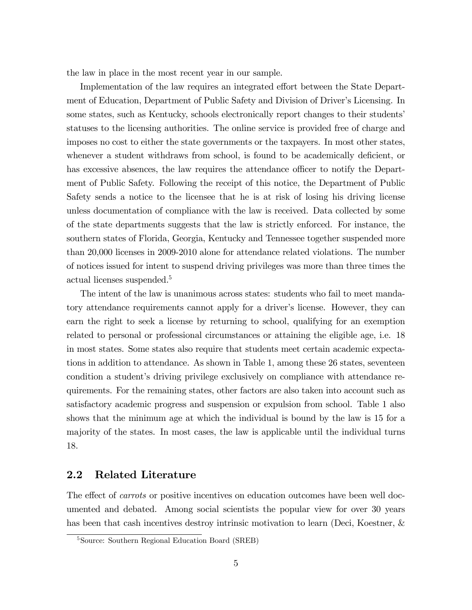the law in place in the most recent year in our sample.

Implementation of the law requires an integrated effort between the State Department of Education, Department of Public Safety and Division of Driver's Licensing. In some states, such as Kentucky, schools electronically report changes to their students' statuses to the licensing authorities. The online service is provided free of charge and imposes no cost to either the state governments or the taxpayers. In most other states, whenever a student withdraws from school, is found to be academically deficient, or has excessive absences, the law requires the attendance officer to notify the Department of Public Safety. Following the receipt of this notice, the Department of Public Safety sends a notice to the licensee that he is at risk of losing his driving license unless documentation of compliance with the law is received. Data collected by some of the state departments suggests that the law is strictly enforced. For instance, the southern states of Florida, Georgia, Kentucky and Tennessee together suspended more than 20,000 licenses in 2009-2010 alone for attendance related violations. The number of notices issued for intent to suspend driving privileges was more than three times the actual licenses suspended.<sup>5</sup>

The intent of the law is unanimous across states: students who fail to meet mandatory attendance requirements cannot apply for a driver's license. However, they can earn the right to seek a license by returning to school, qualifying for an exemption related to personal or professional circumstances or attaining the eligible age, i.e. 18 in most states. Some states also require that students meet certain academic expectations in addition to attendance. As shown in Table 1, among these 26 states, seventeen condition a student's driving privilege exclusively on compliance with attendance requirements. For the remaining states, other factors are also taken into account such as satisfactory academic progress and suspension or expulsion from school. Table 1 also shows that the minimum age at which the individual is bound by the law is 15 for a majority of the states. In most cases, the law is applicable until the individual turns 18.

#### 2.2 Related Literature

The effect of *carrots* or positive incentives on education outcomes have been well documented and debated. Among social scientists the popular view for over 30 years has been that cash incentives destroy intrinsic motivation to learn (Deci, Koestner, &

<sup>5</sup>Source: Southern Regional Education Board (SREB)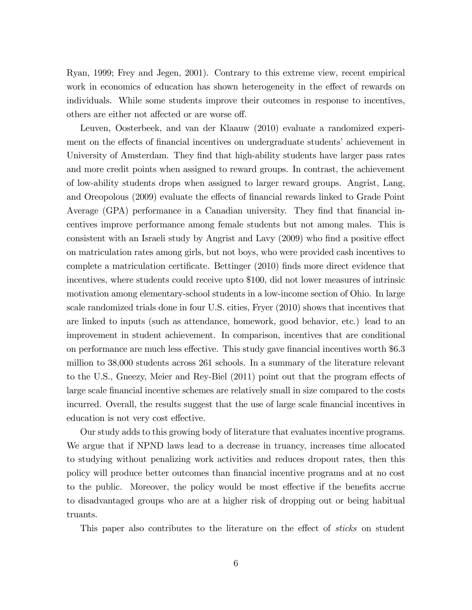Ryan, 1999; Frey and Jegen, 2001). Contrary to this extreme view, recent empirical work in economics of education has shown heterogeneity in the effect of rewards on individuals. While some students improve their outcomes in response to incentives, others are either not affected or are worse off.

Leuven, Oosterbeek, and van der Klaauw (2010) evaluate a randomized experiment on the effects of financial incentives on undergraduate students' achievement in University of Amsterdam. They find that high-ability students have larger pass rates and more credit points when assigned to reward groups. In contrast, the achievement of low-ability students drops when assigned to larger reward groups. Angrist, Lang, and Oreopolous (2009) evaluate the effects of financial rewards linked to Grade Point Average (GPA) performance in a Canadian university. They find that financial incentives improve performance among female students but not among males. This is consistent with an Israeli study by Angrist and Lavy (2009) who find a positive effect on matriculation rates among girls, but not boys, who were provided cash incentives to complete a matriculation certificate. Bettinger (2010) finds more direct evidence that incentives, where students could receive upto \$100, did not lower measures of intrinsic motivation among elementary-school students in a low-income section of Ohio. In large scale randomized trials done in four U.S. cities, Fryer (2010) shows that incentives that are linked to inputs (such as attendance, homework, good behavior, etc.) lead to an improvement in student achievement. In comparison, incentives that are conditional on performance are much less effective. This study gave financial incentives worth \$6.3 million to 38,000 students across 261 schools. In a summary of the literature relevant to the U.S., Gneezy, Meier and Rey-Biel (2011) point out that the program effects of large scale financial incentive schemes are relatively small in size compared to the costs incurred. Overall, the results suggest that the use of large scale financial incentives in education is not very cost effective.

Our study adds to this growing body of literature that evaluates incentive programs. We argue that if NPND laws lead to a decrease in truancy, increases time allocated to studying without penalizing work activities and reduces dropout rates, then this policy will produce better outcomes than Önancial incentive programs and at no cost to the public. Moreover, the policy would be most effective if the benefits accrue to disadvantaged groups who are at a higher risk of dropping out or being habitual truants.

This paper also contributes to the literature on the effect of *sticks* on student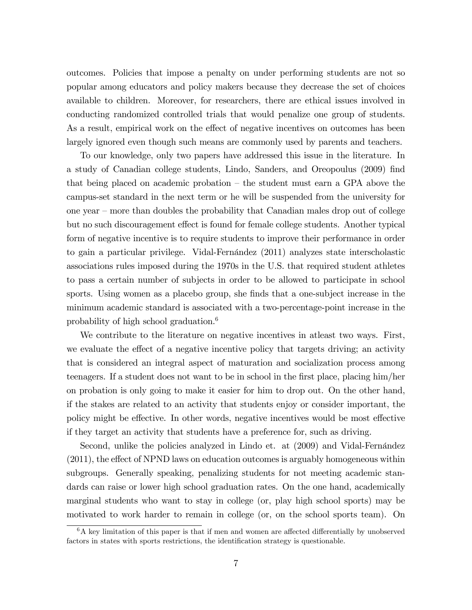outcomes. Policies that impose a penalty on under performing students are not so popular among educators and policy makers because they decrease the set of choices available to children. Moreover, for researchers, there are ethical issues involved in conducting randomized controlled trials that would penalize one group of students. As a result, empirical work on the effect of negative incentives on outcomes has been largely ignored even though such means are commonly used by parents and teachers.

To our knowledge, only two papers have addressed this issue in the literature. In a study of Canadian college students, Lindo, Sanders, and Oreopoulus (2009) Önd that being placed on academic probation  $-$  the student must earn a GPA above the campus-set standard in the next term or he will be suspended from the university for one year  $-$  more than doubles the probability that Canadian males drop out of college but no such discouragement effect is found for female college students. Another typical form of negative incentive is to require students to improve their performance in order to gain a particular privilege. Vidal-Fernández (2011) analyzes state interscholastic associations rules imposed during the 1970s in the U.S. that required student athletes to pass a certain number of subjects in order to be allowed to participate in school sports. Using women as a placebo group, she finds that a one-subject increase in the minimum academic standard is associated with a two-percentage-point increase in the probability of high school graduation.<sup>6</sup>

We contribute to the literature on negative incentives in atleast two ways. First, we evaluate the effect of a negative incentive policy that targets driving; an activity that is considered an integral aspect of maturation and socialization process among teenagers. If a student does not want to be in school in the first place, placing him/her on probation is only going to make it easier for him to drop out. On the other hand, if the stakes are related to an activity that students enjoy or consider important, the policy might be effective. In other words, negative incentives would be most effective if they target an activity that students have a preference for, such as driving.

Second, unlike the policies analyzed in Lindo et. at  $(2009)$  and Vidal-Fernandez  $(2011)$ , the effect of NPND laws on education outcomes is arguably homogeneous within subgroups. Generally speaking, penalizing students for not meeting academic standards can raise or lower high school graduation rates. On the one hand, academically marginal students who want to stay in college (or, play high school sports) may be motivated to work harder to remain in college (or, on the school sports team). On

 $6A$  key limitation of this paper is that if men and women are affected differentially by unobserved factors in states with sports restrictions, the identification strategy is questionable.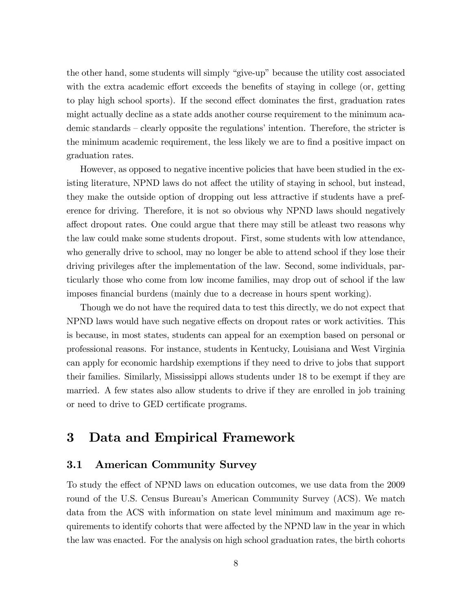the other hand, some students will simply "give-up" because the utility cost associated with the extra academic effort exceeds the benefits of staying in college (or, getting to play high school sports). If the second effect dominates the first, graduation rates might actually decline as a state adds another course requirement to the minimum academic standards  $-\tilde{\phantom{a}}$  clearly opposite the regulations' intention. Therefore, the stricter is the minimum academic requirement, the less likely we are to find a positive impact on graduation rates.

However, as opposed to negative incentive policies that have been studied in the existing literature, NPND laws do not affect the utility of staying in school, but instead, they make the outside option of dropping out less attractive if students have a preference for driving. Therefore, it is not so obvious why NPND laws should negatively affect dropout rates. One could argue that there may still be atleast two reasons why the law could make some students dropout. First, some students with low attendance, who generally drive to school, may no longer be able to attend school if they lose their driving privileges after the implementation of the law. Second, some individuals, particularly those who come from low income families, may drop out of school if the law imposes financial burdens (mainly due to a decrease in hours spent working).

Though we do not have the required data to test this directly, we do not expect that NPND laws would have such negative effects on dropout rates or work activities. This is because, in most states, students can appeal for an exemption based on personal or professional reasons. For instance, students in Kentucky, Louisiana and West Virginia can apply for economic hardship exemptions if they need to drive to jobs that support their families. Similarly, Mississippi allows students under 18 to be exempt if they are married. A few states also allow students to drive if they are enrolled in job training or need to drive to GED certificate programs.

# 3 Data and Empirical Framework

#### 3.1 American Community Survey

To study the effect of NPND laws on education outcomes, we use data from the 2009 round of the U.S. Census Bureauís American Community Survey (ACS). We match data from the ACS with information on state level minimum and maximum age requirements to identify cohorts that were affected by the NPND law in the year in which the law was enacted. For the analysis on high school graduation rates, the birth cohorts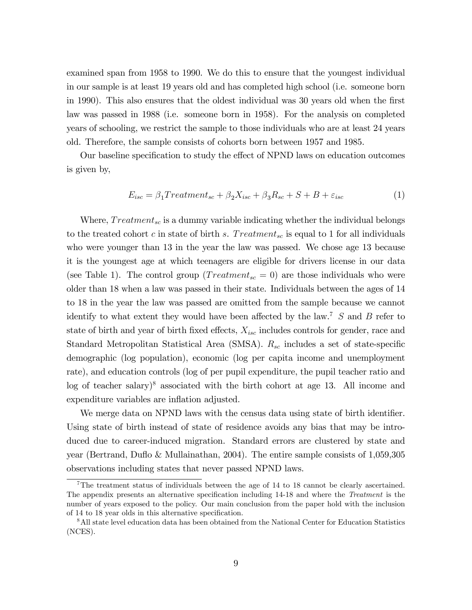examined span from 1958 to 1990. We do this to ensure that the youngest individual in our sample is at least 19 years old and has completed high school (i.e. someone born in 1990). This also ensures that the oldest individual was 30 years old when the first law was passed in 1988 (i.e. someone born in 1958). For the analysis on completed years of schooling, we restrict the sample to those individuals who are at least 24 years old. Therefore, the sample consists of cohorts born between 1957 and 1985.

Our baseline specification to study the effect of NPND laws on education outcomes is given by,

$$
E_{isc} = \beta_1 Treatment_{sc} + \beta_2 X_{isc} + \beta_3 R_{sc} + S + B + \varepsilon_{isc}
$$
 (1)

Where,  $Treatment_{sc}$  is a dummy variable indicating whether the individual belongs to the treated cohort c in state of birth s. Treatment<sub>sc</sub> is equal to 1 for all individuals who were younger than 13 in the year the law was passed. We chose age 13 because it is the youngest age at which teenagers are eligible for drivers license in our data (see Table 1). The control group (*Treatment<sub>sc</sub>* = 0) are those individuals who were older than 18 when a law was passed in their state. Individuals between the ages of 14 to 18 in the year the law was passed are omitted from the sample because we cannot identify to what extent they would have been affected by the law.<sup>7</sup>  $S$  and  $B$  refer to state of birth and year of birth fixed effects,  $X_{isc}$  includes controls for gender, race and Standard Metropolitan Statistical Area (SMSA).  $R_{sc}$  includes a set of state-specific demographic (log population), economic (log per capita income and unemployment rate), and education controls (log of per pupil expenditure, the pupil teacher ratio and  $\log$  of teacher salary)<sup>8</sup> associated with the birth cohort at age 13. All income and expenditure variables are inflation adjusted.

We merge data on NPND laws with the census data using state of birth identifier. Using state of birth instead of state of residence avoids any bias that may be introduced due to career-induced migration. Standard errors are clustered by state and year (Bertrand, Duáo & Mullainathan, 2004). The entire sample consists of 1,059,305 observations including states that never passed NPND laws.

<sup>7</sup>The treatment status of individuals between the age of 14 to 18 cannot be clearly ascertained. The appendix presents an alternative specification including 14-18 and where the Treatment is the number of years exposed to the policy. Our main conclusion from the paper hold with the inclusion of 14 to 18 year olds in this alternative specification.

<sup>&</sup>lt;sup>8</sup>All state level education data has been obtained from the National Center for Education Statistics (NCES).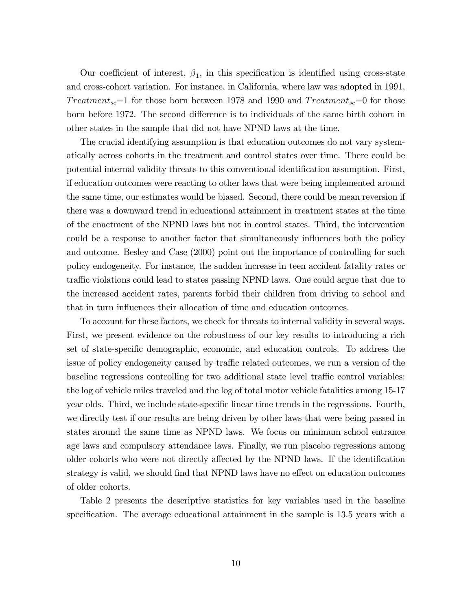Our coefficient of interest,  $\beta_1$ , in this specification is identified using cross-state and cross-cohort variation. For instance, in California, where law was adopted in 1991, Treatment<sub>sc</sub>=1 for those born between 1978 and 1990 and Treatment<sub>sc</sub>=0 for those born before 1972. The second difference is to individuals of the same birth cohort in other states in the sample that did not have NPND laws at the time.

The crucial identifying assumption is that education outcomes do not vary systematically across cohorts in the treatment and control states over time. There could be potential internal validity threats to this conventional identification assumption. First, if education outcomes were reacting to other laws that were being implemented around the same time, our estimates would be biased. Second, there could be mean reversion if there was a downward trend in educational attainment in treatment states at the time of the enactment of the NPND laws but not in control states. Third, the intervention could be a response to another factor that simultaneously influences both the policy and outcome. Besley and Case (2000) point out the importance of controlling for such policy endogeneity. For instance, the sudden increase in teen accident fatality rates or traffic violations could lead to states passing NPND laws. One could argue that due to the increased accident rates, parents forbid their children from driving to school and that in turn influences their allocation of time and education outcomes.

To account for these factors, we check for threats to internal validity in several ways. First, we present evidence on the robustness of our key results to introducing a rich set of state-specific demographic, economic, and education controls. To address the issue of policy endogeneity caused by traffic related outcomes, we run a version of the baseline regressions controlling for two additional state level traffic control variables: the log of vehicle miles traveled and the log of total motor vehicle fatalities among 15-17 year olds. Third, we include state-specific linear time trends in the regressions. Fourth, we directly test if our results are being driven by other laws that were being passed in states around the same time as NPND laws. We focus on minimum school entrance age laws and compulsory attendance laws. Finally, we run placebo regressions among older cohorts who were not directly affected by the NPND laws. If the identification strategy is valid, we should find that NPND laws have no effect on education outcomes of older cohorts.

Table 2 presents the descriptive statistics for key variables used in the baseline specification. The average educational attainment in the sample is 13.5 years with a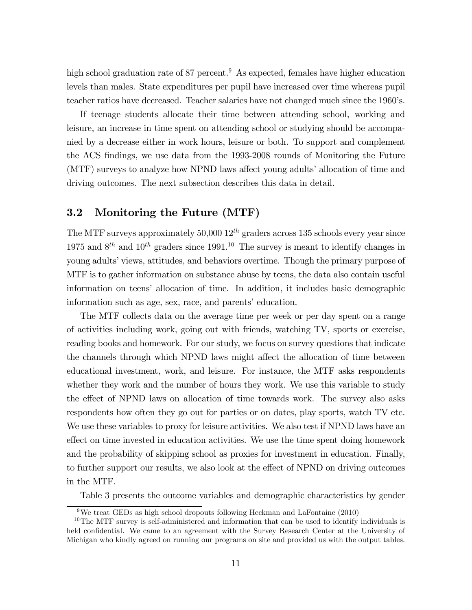high school graduation rate of 87 percent.<sup>9</sup> As expected, females have higher education levels than males. State expenditures per pupil have increased over time whereas pupil teacher ratios have decreased. Teacher salaries have not changed much since the 1960ís.

If teenage students allocate their time between attending school, working and leisure, an increase in time spent on attending school or studying should be accompanied by a decrease either in work hours, leisure or both. To support and complement the ACS Öndings, we use data from the 1993-2008 rounds of Monitoring the Future (MTF) surveys to analyze how NPND laws affect young adults' allocation of time and driving outcomes. The next subsection describes this data in detail.

#### 3.2 Monitoring the Future (MTF)

The MTF surveys approximately 50,000  $12^{th}$  graders across 135 schools every year since 1975 and  $8^{th}$  and  $10^{th}$  graders since 1991.<sup>10</sup> The survey is meant to identify changes in young adults' views, attitudes, and behaviors overtime. Though the primary purpose of MTF is to gather information on substance abuse by teens, the data also contain useful information on teensí allocation of time. In addition, it includes basic demographic information such as age, sex, race, and parents' education.

The MTF collects data on the average time per week or per day spent on a range of activities including work, going out with friends, watching TV, sports or exercise, reading books and homework. For our study, we focus on survey questions that indicate the channels through which NPND laws might affect the allocation of time between educational investment, work, and leisure. For instance, the MTF asks respondents whether they work and the number of hours they work. We use this variable to study the effect of NPND laws on allocation of time towards work. The survey also asks respondents how often they go out for parties or on dates, play sports, watch TV etc. We use these variables to proxy for leisure activities. We also test if NPND laws have an effect on time invested in education activities. We use the time spent doing homework and the probability of skipping school as proxies for investment in education. Finally, to further support our results, we also look at the effect of NPND on driving outcomes in the MTF.

Table 3 presents the outcome variables and demographic characteristics by gender

<sup>&</sup>lt;sup>9</sup>We treat GEDs as high school dropouts following Heckman and LaFontaine  $(2010)$ 

<sup>&</sup>lt;sup>10</sup>The MTF survey is self-administered and information that can be used to identify individuals is held confidential. We came to an agreement with the Survey Research Center at the University of Michigan who kindly agreed on running our programs on site and provided us with the output tables.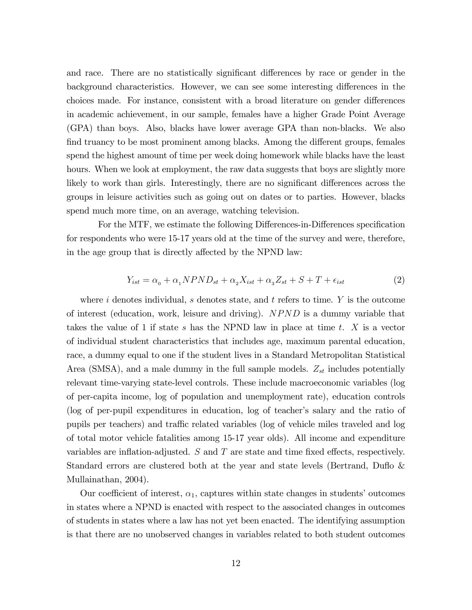and race. There are no statistically significant differences by race or gender in the background characteristics. However, we can see some interesting differences in the choices made. For instance, consistent with a broad literature on gender differences in academic achievement, in our sample, females have a higher Grade Point Average (GPA) than boys. Also, blacks have lower average GPA than non-blacks. We also find truancy to be most prominent among blacks. Among the different groups, females spend the highest amount of time per week doing homework while blacks have the least hours. When we look at employment, the raw data suggests that boys are slightly more likely to work than girls. Interestingly, there are no significant differences across the groups in leisure activities such as going out on dates or to parties. However, blacks spend much more time, on an average, watching television.

For the MTF, we estimate the following Differences-in-Differences specification for respondents who were 15-17 years old at the time of the survey and were, therefore, in the age group that is directly affected by the NPND law:

$$
Y_{ist} = \alpha_0 + \alpha_1 NPND_{st} + \alpha_2 X_{ist} + \alpha_3 Z_{st} + S + T + \epsilon_{ist}
$$
\n<sup>(2)</sup>

where i denotes individual, s denotes state, and t refers to time.  $Y$  is the outcome of interest (education, work, leisure and driving).  $NPND$  is a dummy variable that takes the value of 1 if state s has the NPND law in place at time t.  $X$  is a vector of individual student characteristics that includes age, maximum parental education, race, a dummy equal to one if the student lives in a Standard Metropolitan Statistical Area (SMSA), and a male dummy in the full sample models.  $Z_{st}$  includes potentially relevant time-varying state-level controls. These include macroeconomic variables (log of per-capita income, log of population and unemployment rate), education controls (log of per-pupil expenditures in education, log of teacher's salary and the ratio of pupils per teachers) and traffic related variables (log of vehicle miles traveled and log of total motor vehicle fatalities among 15-17 year olds). All income and expenditure variables are inflation-adjusted.  $S$  and  $T$  are state and time fixed effects, respectively. Standard errors are clustered both at the year and state levels (Bertrand, Duflo  $\&$ Mullainathan, 2004).

Our coefficient of interest,  $\alpha_1$ , captures within state changes in students' outcomes in states where a NPND is enacted with respect to the associated changes in outcomes of students in states where a law has not yet been enacted. The identifying assumption is that there are no unobserved changes in variables related to both student outcomes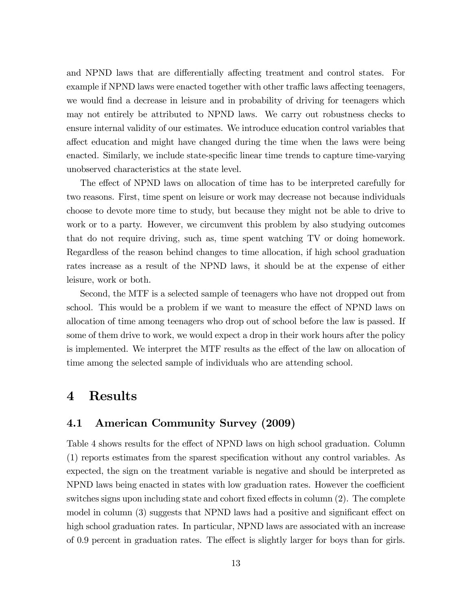and NPND laws that are differentially affecting treatment and control states. For example if NPND laws were enacted together with other traffic laws affecting teenagers, we would find a decrease in leisure and in probability of driving for teenagers which may not entirely be attributed to NPND laws. We carry out robustness checks to ensure internal validity of our estimates. We introduce education control variables that affect education and might have changed during the time when the laws were being enacted. Similarly, we include state-specific linear time trends to capture time-varying unobserved characteristics at the state level.

The effect of NPND laws on allocation of time has to be interpreted carefully for two reasons. First, time spent on leisure or work may decrease not because individuals choose to devote more time to study, but because they might not be able to drive to work or to a party. However, we circumvent this problem by also studying outcomes that do not require driving, such as, time spent watching TV or doing homework. Regardless of the reason behind changes to time allocation, if high school graduation rates increase as a result of the NPND laws, it should be at the expense of either leisure, work or both.

Second, the MTF is a selected sample of teenagers who have not dropped out from school. This would be a problem if we want to measure the effect of NPND laws on allocation of time among teenagers who drop out of school before the law is passed. If some of them drive to work, we would expect a drop in their work hours after the policy is implemented. We interpret the MTF results as the effect of the law on allocation of time among the selected sample of individuals who are attending school.

### 4 Results

#### 4.1 American Community Survey (2009)

Table 4 shows results for the effect of NPND laws on high school graduation. Column (1) reports estimates from the sparest speciÖcation without any control variables. As expected, the sign on the treatment variable is negative and should be interpreted as NPND laws being enacted in states with low graduation rates. However the coefficient switches signs upon including state and cohort fixed effects in column  $(2)$ . The complete model in column  $(3)$  suggests that NPND laws had a positive and significant effect on high school graduation rates. In particular, NPND laws are associated with an increase of 0.9 percent in graduation rates. The effect is slightly larger for boys than for girls.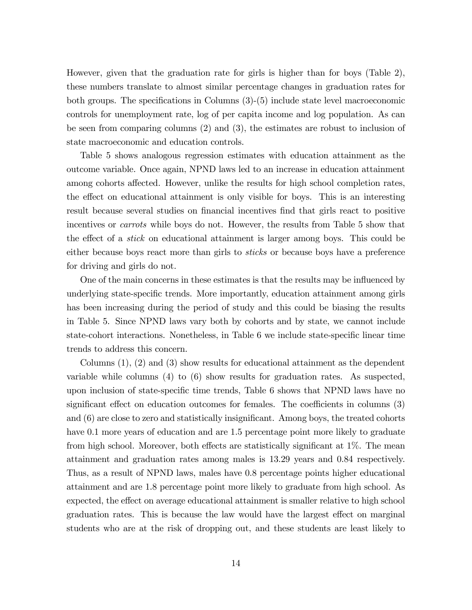However, given that the graduation rate for girls is higher than for boys (Table 2), these numbers translate to almost similar percentage changes in graduation rates for both groups. The specifications in Columns  $(3)-(5)$  include state level macroeconomic controls for unemployment rate, log of per capita income and log population. As can be seen from comparing columns (2) and (3), the estimates are robust to inclusion of state macroeconomic and education controls.

Table 5 shows analogous regression estimates with education attainment as the outcome variable. Once again, NPND laws led to an increase in education attainment among cohorts affected. However, unlike the results for high school completion rates, the effect on educational attainment is only visible for boys. This is an interesting result because several studies on financial incentives find that girls react to positive incentives or carrots while boys do not. However, the results from Table 5 show that the effect of a *stick* on educational attainment is larger among boys. This could be either because boys react more than girls to sticks or because boys have a preference for driving and girls do not.

One of the main concerns in these estimates is that the results may be influenced by underlying state-specific trends. More importantly, education attainment among girls has been increasing during the period of study and this could be biasing the results in Table 5. Since NPND laws vary both by cohorts and by state, we cannot include state-cohort interactions. Nonetheless, in Table 6 we include state-specific linear time trends to address this concern.

Columns (1), (2) and (3) show results for educational attainment as the dependent variable while columns (4) to (6) show results for graduation rates. As suspected, upon inclusion of state-specific time trends, Table 6 shows that NPND laws have no significant effect on education outcomes for females. The coefficients in columns  $(3)$ and  $(6)$  are close to zero and statistically insignificant. Among boys, the treated cohorts have 0.1 more years of education and are 1.5 percentage point more likely to graduate from high school. Moreover, both effects are statistically significant at  $1\%$ . The mean attainment and graduation rates among males is 13.29 years and 0.84 respectively. Thus, as a result of NPND laws, males have 0.8 percentage points higher educational attainment and are 1.8 percentage point more likely to graduate from high school. As expected, the effect on average educational attainment is smaller relative to high school graduation rates. This is because the law would have the largest effect on marginal students who are at the risk of dropping out, and these students are least likely to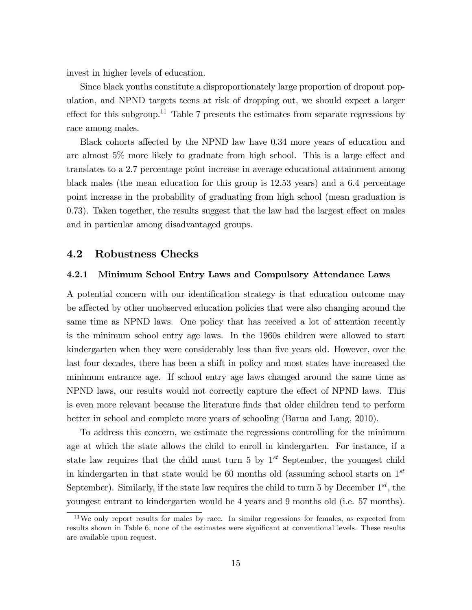invest in higher levels of education.

Since black youths constitute a disproportionately large proportion of dropout population, and NPND targets teens at risk of dropping out, we should expect a larger effect for this subgroup.<sup>11</sup> Table 7 presents the estimates from separate regressions by race among males.

Black cohorts affected by the NPND law have 0.34 more years of education and are almost  $5\%$  more likely to graduate from high school. This is a large effect and translates to a 2.7 percentage point increase in average educational attainment among black males (the mean education for this group is 12.53 years) and a 6.4 percentage point increase in the probability of graduating from high school (mean graduation is  $(0.73)$ . Taken together, the results suggest that the law had the largest effect on males and in particular among disadvantaged groups.

#### 4.2 Robustness Checks

#### 4.2.1 Minimum School Entry Laws and Compulsory Attendance Laws

A potential concern with our identification strategy is that education outcome may be affected by other unobserved education policies that were also changing around the same time as NPND laws. One policy that has received a lot of attention recently is the minimum school entry age laws. In the 1960s children were allowed to start kindergarten when they were considerably less than five years old. However, over the last four decades, there has been a shift in policy and most states have increased the minimum entrance age. If school entry age laws changed around the same time as NPND laws, our results would not correctly capture the effect of NPND laws. This is even more relevant because the literature Önds that older children tend to perform better in school and complete more years of schooling (Barua and Lang, 2010).

To address this concern, we estimate the regressions controlling for the minimum age at which the state allows the child to enroll in kindergarten. For instance, if a state law requires that the child must turn 5 by  $1^{st}$  September, the youngest child in kindergarten in that state would be 60 months old (assuming school starts on  $1^{st}$ September). Similarly, if the state law requires the child to turn 5 by December  $1^{st}$ , the youngest entrant to kindergarten would be 4 years and 9 months old (i.e. 57 months).

<sup>&</sup>lt;sup>11</sup>We only report results for males by race. In similar regressions for females, as expected from results shown in Table 6, none of the estimates were significant at conventional levels. These results are available upon request.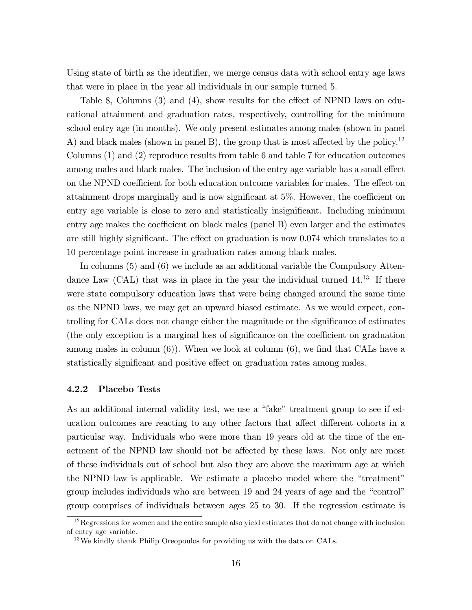Using state of birth as the identifier, we merge census data with school entry age laws that were in place in the year all individuals in our sample turned 5.

Table 8, Columns  $(3)$  and  $(4)$ , show results for the effect of NPND laws on educational attainment and graduation rates, respectively, controlling for the minimum school entry age (in months). We only present estimates among males (shown in panel A) and black males (shown in panel B), the group that is most affected by the policy.<sup>12</sup> Columns (1) and (2) reproduce results from table 6 and table 7 for education outcomes among males and black males. The inclusion of the entry age variable has a small effect on the NPND coefficient for both education outcome variables for males. The effect on attainment drops marginally and is now significant at  $5\%$ . However, the coefficient on entry age variable is close to zero and statistically insignificant. Including minimum entry age makes the coefficient on black males (panel  $B$ ) even larger and the estimates are still highly significant. The effect on graduation is now  $0.074$  which translates to a 10 percentage point increase in graduation rates among black males.

In columns (5) and (6) we include as an additional variable the Compulsory Attendance Law (CAL) that was in place in the year the individual turned  $14^{13}$  If there were state compulsory education laws that were being changed around the same time as the NPND laws, we may get an upward biased estimate. As we would expect, controlling for CALs does not change either the magnitude or the significance of estimates (the only exception is a marginal loss of significance on the coefficient on graduation among males in column  $(6)$ . When we look at column  $(6)$ , we find that CALs have a statistically significant and positive effect on graduation rates among males.

#### 4.2.2 Placebo Tests

As an additional internal validity test, we use a "fake" treatment group to see if education outcomes are reacting to any other factors that affect different cohorts in a particular way. Individuals who were more than 19 years old at the time of the enactment of the NPND law should not be affected by these laws. Not only are most of these individuals out of school but also they are above the maximum age at which the NPND law is applicable. We estimate a placebo model where the "treatment" group includes individuals who are between 19 and 24 years of age and the "control" group comprises of individuals between ages 25 to 30. If the regression estimate is

 $12$ Regressions for women and the entire sample also yield estimates that do not change with inclusion of entry age variable.

 $13\,\text{We}$  kindly thank Philip Oreopoulos for providing us with the data on CALs.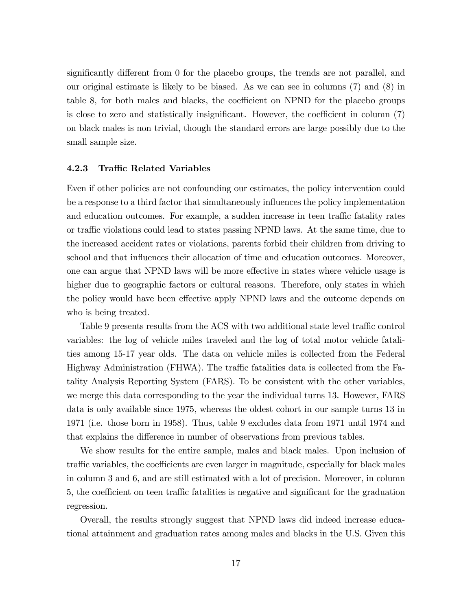significantly different from  $\theta$  for the placebo groups, the trends are not parallel, and our original estimate is likely to be biased. As we can see in columns (7) and (8) in table 8, for both males and blacks, the coefficient on NPND for the placebo groups is close to zero and statistically insignificant. However, the coefficient in column  $(7)$ on black males is non trivial, though the standard errors are large possibly due to the small sample size.

#### 4.2.3 Traffic Related Variables

Even if other policies are not confounding our estimates, the policy intervention could be a response to a third factor that simultaneously influences the policy implementation and education outcomes. For example, a sudden increase in teen traffic fatality rates or traffic violations could lead to states passing NPND laws. At the same time, due to the increased accident rates or violations, parents forbid their children from driving to school and that influences their allocation of time and education outcomes. Moreover, one can argue that NPND laws will be more effective in states where vehicle usage is higher due to geographic factors or cultural reasons. Therefore, only states in which the policy would have been effective apply NPND laws and the outcome depends on who is being treated.

Table 9 presents results from the ACS with two additional state level traffic control variables: the log of vehicle miles traveled and the log of total motor vehicle fatalities among 15-17 year olds. The data on vehicle miles is collected from the Federal Highway Administration (FHWA). The traffic fatalities data is collected from the Fatality Analysis Reporting System (FARS). To be consistent with the other variables, we merge this data corresponding to the year the individual turns 13. However, FARS data is only available since 1975, whereas the oldest cohort in our sample turns 13 in 1971 (i.e. those born in 1958). Thus, table 9 excludes data from 1971 until 1974 and that explains the difference in number of observations from previous tables.

We show results for the entire sample, males and black males. Upon inclusion of traffic variables, the coefficients are even larger in magnitude, especially for black males in column 3 and 6, and are still estimated with a lot of precision. Moreover, in column 5, the coefficient on teen traffic fatalities is negative and significant for the graduation regression.

Overall, the results strongly suggest that NPND laws did indeed increase educational attainment and graduation rates among males and blacks in the U.S. Given this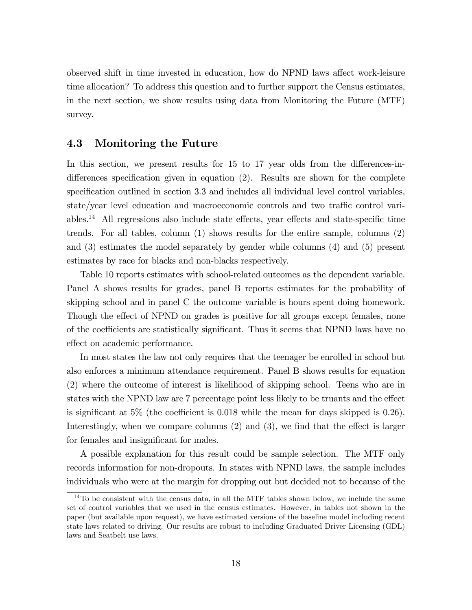observed shift in time invested in education, how do NPND laws affect work-leisure time allocation? To address this question and to further support the Census estimates, in the next section, we show results using data from Monitoring the Future (MTF) survey.

#### 4.3 Monitoring the Future

In this section, we present results for  $15$  to  $17$  year olds from the differences-indifferences specification given in equation  $(2)$ . Results are shown for the complete specification outlined in section 3.3 and includes all individual level control variables, state/year level education and macroeconomic controls and two traffic control variables.<sup>14</sup> All regressions also include state effects, year effects and state-specific time trends. For all tables, column (1) shows results for the entire sample, columns (2) and (3) estimates the model separately by gender while columns (4) and (5) present estimates by race for blacks and non-blacks respectively.

Table 10 reports estimates with school-related outcomes as the dependent variable. Panel A shows results for grades, panel B reports estimates for the probability of skipping school and in panel C the outcome variable is hours spent doing homework. Though the effect of NPND on grades is positive for all groups except females, none of the coefficients are statistically significant. Thus it seems that NPND laws have no effect on academic performance.

In most states the law not only requires that the teenager be enrolled in school but also enforces a minimum attendance requirement. Panel B shows results for equation (2) where the outcome of interest is likelihood of skipping school. Teens who are in states with the NPND law are 7 percentage point less likely to be truants and the effect is significant at  $5\%$  (the coefficient is 0.018 while the mean for days skipped is 0.26). Interestingly, when we compare columns  $(2)$  and  $(3)$ , we find that the effect is larger for females and insignificant for males.

A possible explanation for this result could be sample selection. The MTF only records information for non-dropouts. In states with NPND laws, the sample includes individuals who were at the margin for dropping out but decided not to because of the

 $14$ To be consistent with the census data, in all the MTF tables shown below, we include the same set of control variables that we used in the census estimates. However, in tables not shown in the paper (but available upon request), we have estimated versions of the baseline model including recent state laws related to driving. Our results are robust to including Graduated Driver Licensing (GDL) laws and Seatbelt use laws.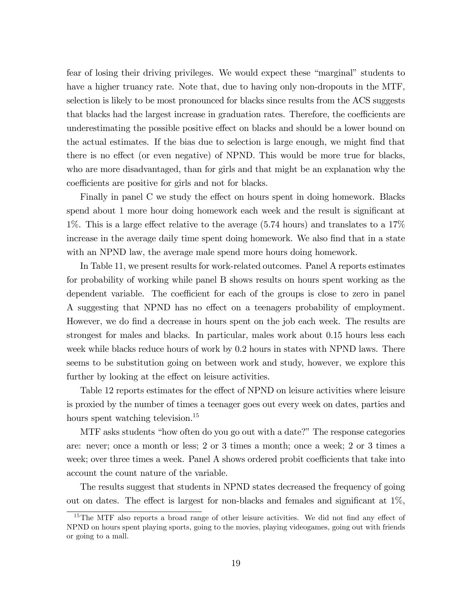fear of losing their driving privileges. We would expect these "marginal" students to have a higher truancy rate. Note that, due to having only non-dropouts in the MTF, selection is likely to be most pronounced for blacks since results from the ACS suggests that blacks had the largest increase in graduation rates. Therefore, the coefficients are underestimating the possible positive effect on blacks and should be a lower bound on the actual estimates. If the bias due to selection is large enough, we might Önd that there is no effect (or even negative) of NPND. This would be more true for blacks, who are more disadvantaged, than for girls and that might be an explanation why the coefficients are positive for girls and not for blacks.

Finally in panel C we study the effect on hours spent in doing homework. Blacks spend about 1 more hour doing homework each week and the result is significant at 1%. This is a large effect relative to the average  $(5.74 \text{ hours})$  and translates to a  $17\%$ increase in the average daily time spent doing homework. We also find that in a state with an NPND law, the average male spend more hours doing homework.

In Table 11, we present results for work-related outcomes. Panel A reports estimates for probability of working while panel B shows results on hours spent working as the dependent variable. The coefficient for each of the groups is close to zero in panel A suggesting that NPND has no effect on a teenagers probability of employment. However, we do find a decrease in hours spent on the job each week. The results are strongest for males and blacks. In particular, males work about 0.15 hours less each week while blacks reduce hours of work by 0.2 hours in states with NPND laws. There seems to be substitution going on between work and study, however, we explore this further by looking at the effect on leisure activities.

Table 12 reports estimates for the effect of NPND on leisure activities where leisure is proxied by the number of times a teenager goes out every week on dates, parties and hours spent watching television.<sup>15</sup>

MTF asks students "how often do you go out with a date?" The response categories are: never; once a month or less; 2 or 3 times a month; once a week; 2 or 3 times a week; over three times a week. Panel A shows ordered probit coefficients that take into account the count nature of the variable.

The results suggest that students in NPND states decreased the frequency of going out on dates. The effect is largest for non-blacks and females and significant at  $1\%$ ,

 $15$ The MTF also reports a broad range of other leisure activities. We did not find any effect of NPND on hours spent playing sports, going to the movies, playing videogames, going out with friends or going to a mall.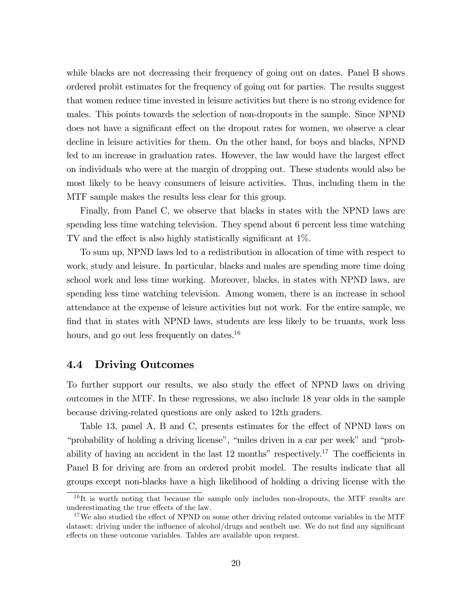while blacks are not decreasing their frequency of going out on dates. Panel B shows ordered probit estimates for the frequency of going out for parties. The results suggest that women reduce time invested in leisure activities but there is no strong evidence for males. This points towards the selection of non-dropouts in the sample. Since NPND does not have a significant effect on the dropout rates for women, we observe a clear decline in leisure activities for them. On the other hand, for boys and blacks, NPND led to an increase in graduation rates. However, the law would have the largest effect on individuals who were at the margin of dropping out. These students would also be most likely to be heavy consumers of leisure activities. Thus, including them in the MTF sample makes the results less clear for this group.

Finally, from Panel C, we observe that blacks in states with the NPND laws are spending less time watching television. They spend about 6 percent less time watching TV and the effect is also highly statistically significant at  $1\%$ .

To sum up, NPND laws led to a redistribution in allocation of time with respect to work, study and leisure. In particular, blacks and males are spending more time doing school work and less time working. Moreover, blacks, in states with NPND laws, are spending less time watching television. Among women, there is an increase in school attendance at the expense of leisure activities but not work. For the entire sample, we find that in states with NPND laws, students are less likely to be truants, work less hours, and go out less frequently on dates.<sup>16</sup>

#### 4.4 Driving Outcomes

To further support our results, we also study the effect of NPND laws on driving outcomes in the MTF. In these regressions, we also include 18 year olds in the sample because driving-related questions are only asked to 12th graders.

Table 13, panel A, B and C, presents estimates for the effect of NPND laws on "probability of holding a driving license", "miles driven in a car per week" and "probability of having an accident in the last 12 months" respectively.<sup>17</sup> The coefficients in Panel B for driving are from an ordered probit model. The results indicate that all groups except non-blacks have a high likelihood of holding a driving license with the

 $\frac{16}{16}$  It is worth noting that because the sample only includes non-dropouts, the MTF results are underestimating the true effects of the law.

 $17\,\text{We also studied the effect of NPND on some other driving related outcome variables in the MTF.}$ dataset: driving under the influence of alcohol/drugs and seatbelt use. We do not find any significant effects on these outcome variables. Tables are available upon request.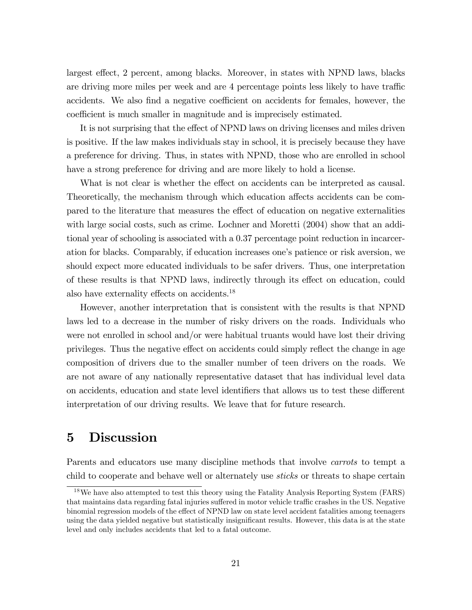largest effect, 2 percent, among blacks. Moreover, in states with NPND laws, blacks are driving more miles per week and are 4 percentage points less likely to have traffic accidents. We also find a negative coefficient on accidents for females, however, the coefficient is much smaller in magnitude and is imprecisely estimated.

It is not surprising that the effect of NPND laws on driving licenses and miles driven is positive. If the law makes individuals stay in school, it is precisely because they have a preference for driving. Thus, in states with NPND, those who are enrolled in school have a strong preference for driving and are more likely to hold a license.

What is not clear is whether the effect on accidents can be interpreted as causal. Theoretically, the mechanism through which education affects accidents can be compared to the literature that measures the effect of education on negative externalities with large social costs, such as crime. Lochner and Moretti (2004) show that an additional year of schooling is associated with a 0.37 percentage point reduction in incarceration for blacks. Comparably, if education increases one's patience or risk aversion, we should expect more educated individuals to be safer drivers. Thus, one interpretation of these results is that NPND laws, indirectly through its effect on education, could also have externality effects on accidents.<sup>18</sup>

However, another interpretation that is consistent with the results is that NPND laws led to a decrease in the number of risky drivers on the roads. Individuals who were not enrolled in school and/or were habitual truants would have lost their driving privileges. Thus the negative effect on accidents could simply reflect the change in age composition of drivers due to the smaller number of teen drivers on the roads. We are not aware of any nationally representative dataset that has individual level data on accidents, education and state level identifiers that allows us to test these different interpretation of our driving results. We leave that for future research.

# 5 Discussion

Parents and educators use many discipline methods that involve *carrots* to tempt a child to cooperate and behave well or alternately use sticks or threats to shape certain

<sup>&</sup>lt;sup>18</sup>We have also attempted to test this theory using the Fatality Analysis Reporting System (FARS) that maintains data regarding fatal injuries suffered in motor vehicle traffic crashes in the US. Negative binomial regression models of the effect of NPND law on state level accident fatalities among teenagers using the data yielded negative but statistically insignificant results. However, this data is at the state level and only includes accidents that led to a fatal outcome.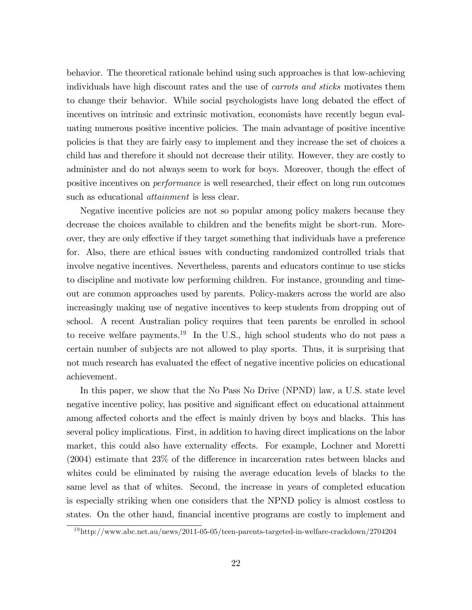behavior. The theoretical rationale behind using such approaches is that low-achieving individuals have high discount rates and the use of carrots and sticks motivates them to change their behavior. While social psychologists have long debated the effect of incentives on intrinsic and extrinsic motivation, economists have recently begun evaluating numerous positive incentive policies. The main advantage of positive incentive policies is that they are fairly easy to implement and they increase the set of choices a child has and therefore it should not decrease their utility. However, they are costly to administer and do not always seem to work for boys. Moreover, though the effect of positive incentives on *performance* is well researched, their effect on long run outcomes such as educational attainment is less clear.

Negative incentive policies are not so popular among policy makers because they decrease the choices available to children and the benefits might be short-run. Moreover, they are only effective if they target something that individuals have a preference for. Also, there are ethical issues with conducting randomized controlled trials that involve negative incentives. Nevertheless, parents and educators continue to use sticks to discipline and motivate low performing children. For instance, grounding and timeout are common approaches used by parents. Policy-makers across the world are also increasingly making use of negative incentives to keep students from dropping out of school. A recent Australian policy requires that teen parents be enrolled in school to receive welfare payments.<sup>19</sup> In the U.S., high school students who do not pass a certain number of subjects are not allowed to play sports. Thus, it is surprising that not much research has evaluated the effect of negative incentive policies on educational achievement.

In this paper, we show that the No Pass No Drive (NPND) law, a U.S. state level negative incentive policy, has positive and significant effect on educational attainment among affected cohorts and the effect is mainly driven by boys and blacks. This has several policy implications. First, in addition to having direct implications on the labor market, this could also have externality effects. For example, Lochner and Moretti  $(2004)$  estimate that  $23\%$  of the difference in incarceration rates between blacks and whites could be eliminated by raising the average education levels of blacks to the same level as that of whites. Second, the increase in years of completed education is especially striking when one considers that the NPND policy is almost costless to states. On the other hand, financial incentive programs are costly to implement and

<sup>19</sup>http://www.abc.net.au/news/2011-05-05/teen-parents-targeted-in-welfare-crackdown/2704204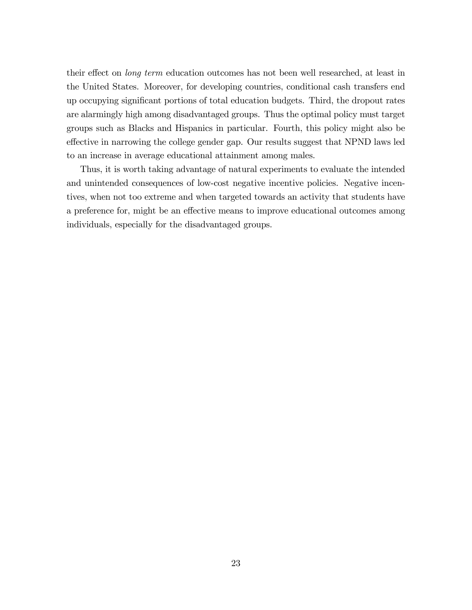their effect on *long term* education outcomes has not been well researched, at least in the United States. Moreover, for developing countries, conditional cash transfers end up occupying signiÖcant portions of total education budgets. Third, the dropout rates are alarmingly high among disadvantaged groups. Thus the optimal policy must target groups such as Blacks and Hispanics in particular. Fourth, this policy might also be effective in narrowing the college gender gap. Our results suggest that NPND laws led to an increase in average educational attainment among males.

Thus, it is worth taking advantage of natural experiments to evaluate the intended and unintended consequences of low-cost negative incentive policies. Negative incentives, when not too extreme and when targeted towards an activity that students have a preference for, might be an effective means to improve educational outcomes among individuals, especially for the disadvantaged groups.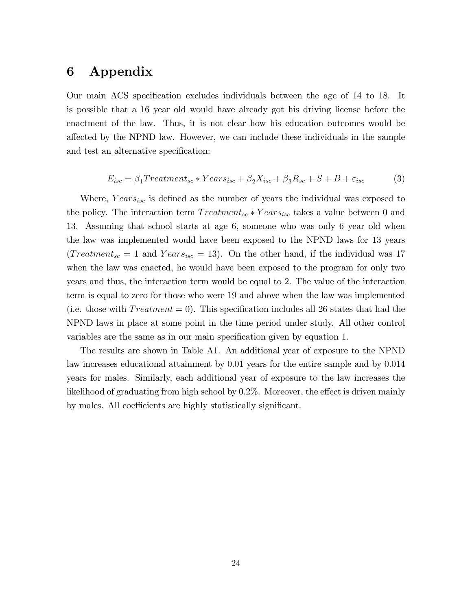### 6 Appendix

Our main ACS specification excludes individuals between the age of 14 to 18. It is possible that a 16 year old would have already got his driving license before the enactment of the law. Thus, it is not clear how his education outcomes would be a§ected by the NPND law. However, we can include these individuals in the sample and test an alternative specification:

$$
E_{isc} = \beta_1 Treatment_{sc} * Years_{isc} + \beta_2 X_{isc} + \beta_3 R_{sc} + S + B + \varepsilon_{isc}
$$
 (3)

Where,  $Years_{isc}$  is defined as the number of years the individual was exposed to the policy. The interaction term  $Treatment_{sc} * Years_{isc}$  takes a value between 0 and 13. Assuming that school starts at age 6, someone who was only 6 year old when the law was implemented would have been exposed to the NPND laws for 13 years  $(Treatment_{sc} = 1$  and  $Years_{isc} = 13)$ . On the other hand, if the individual was 17 when the law was enacted, he would have been exposed to the program for only two years and thus, the interaction term would be equal to 2. The value of the interaction term is equal to zero for those who were 19 and above when the law was implemented (i.e. those with  $Treatment = 0$ ). This specification includes all 26 states that had the NPND laws in place at some point in the time period under study. All other control variables are the same as in our main specification given by equation 1.

The results are shown in Table A1. An additional year of exposure to the NPND law increases educational attainment by 0.01 years for the entire sample and by 0.014 years for males. Similarly, each additional year of exposure to the law increases the likelihood of graduating from high school by  $0.2\%$ . Moreover, the effect is driven mainly by males. All coefficients are highly statistically significant.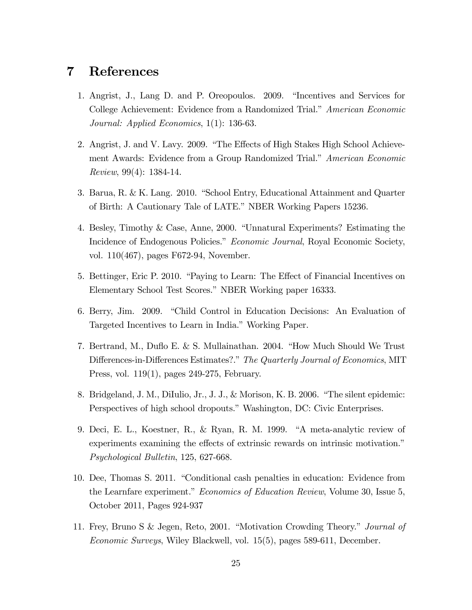### 7 References

- 1. Angrist, J., Lang D. and P. Oreopoulos. 2009. "Incentives and Services for College Achievement: Evidence from a Randomized Trial." American Economic Journal: Applied Economics, 1(1): 136-63.
- 2. Angrist, J. and V. Lavy. 2009. "The Effects of High Stakes High School Achievement Awards: Evidence from a Group Randomized Trial." American Economic Review, 99(4): 1384-14.
- 3. Barua, R. & K. Lang. 2010. "School Entry, Educational Attainment and Quarter of Birth: A Cautionary Tale of LATE." NBER Working Papers 15236.
- 4. Besley, Timothy & Case, Anne, 2000. "Unnatural Experiments? Estimating the Incidence of Endogenous Policies." Economic Journal, Royal Economic Society, vol. 110(467), pages F672-94, November.
- 5. Bettinger, Eric P. 2010. "Paying to Learn: The Effect of Financial Incentives on Elementary School Test Scores." NBER Working paper 16333.
- 6. Berry, Jim. 2009. "Child Control in Education Decisions: An Evaluation of Targeted Incentives to Learn in India." Working Paper.
- 7. Bertrand, M., Duflo E. & S. Mullainathan. 2004. "How Much Should We Trust Differences-in-Differences Estimates?." The Quarterly Journal of Economics, MIT Press, vol. 119(1), pages 249-275, February.
- 8. Bridgeland, J. M., DiIulio, Jr., J. J., & Morison, K. B. 2006. "The silent epidemic: Perspectives of high school dropouts." Washington, DC: Civic Enterprises.
- 9. Deci, E. L., Koestner, R., & Ryan, R. M. 1999. "A meta-analytic review of experiments examining the effects of extrinsic rewards on intrinsic motivation.<sup>n</sup> Psychological Bulletin, 125, 627-668.
- 10. Dee, Thomas S. 2011. "Conditional cash penalties in education: Evidence from the Learnfare experiment." *Economics of Education Review*, Volume 30, Issue 5, October 2011, Pages 924-937
- 11. Frey, Bruno S & Jegen, Reto, 2001. "Motivation Crowding Theory." Journal of Economic Surveys, Wiley Blackwell, vol. 15(5), pages 589-611, December.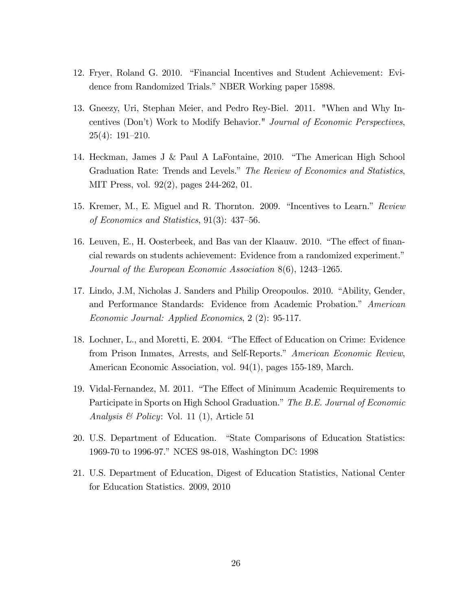- 12. Fryer, Roland G. 2010. "Financial Incentives and Student Achievement: Evidence from Randomized Trials." NBER Working paper 15898.
- 13. Gneezy, Uri, Stephan Meier, and Pedro Rey-Biel. 2011. "When and Why Incentives (Donít) Work to Modify Behavior." Journal of Economic Perspectives,  $25(4): 191-210.$
- 14. Heckman, James J & Paul A LaFontaine, 2010. "The American High School Graduation Rate: Trends and Levels." The Review of Economics and Statistics, MIT Press, vol. 92(2), pages 244-262, 01.
- 15. Kremer, M., E. Miguel and R. Thornton. 2009. "Incentives to Learn." Review of Economics and Statistics,  $91(3)$ : 437–56.
- 16. Leuven, E., H. Oosterbeek, and Bas van der Klaauw. 2010. "The effect of financial rewards on students achievement: Evidence from a randomized experiment.<sup>n</sup> Journal of the European Economic Association  $8(6)$ , 1243–1265.
- 17. Lindo, J.M, Nicholas J. Sanders and Philip Oreopoulos. 2010. "Ability, Gender, and Performance Standards: Evidence from Academic Probation." American Economic Journal: Applied Economics, 2 (2): 95-117.
- 18. Lochner, L., and Moretti, E. 2004. "The Effect of Education on Crime: Evidence from Prison Inmates, Arrests, and Self-Reports." American Economic Review, American Economic Association, vol. 94(1), pages 155-189, March.
- 19. Vidal-Fernandez, M. 2011. "The Effect of Minimum Academic Requirements to Participate in Sports on High School Graduation." The B.E. Journal of Economic *Analysis & Policy:* Vol. 11 (1), Article 51
- 20. U.S. Department of Education. "State Comparisons of Education Statistics: 1969-70 to 1996-97." NCES 98-018, Washington DC: 1998
- 21. U.S. Department of Education, Digest of Education Statistics, National Center for Education Statistics. 2009, 2010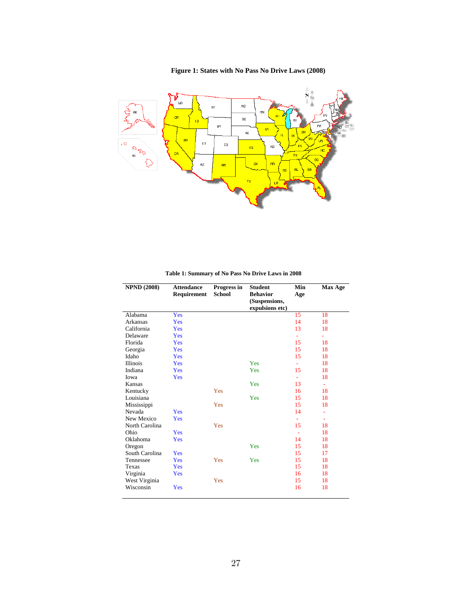Ņ ٦ **WR**  $ND$ MT  $M<sub>N</sub>$ **o**R  $_{\rm SD}$  $\overline{10}$  $W$ Pf 18  $N\bar{E}$ ัผบ  $\overline{\mathbf{N}}$ ้ <mark>บค</mark>  $\overline{u}$  $\mathfrak{c}$ o  $K\bar{\mathbf{s}}$  $mo$ ್ಧಿ нı  $\overline{\textbf{r}}$  $R<sub>Z</sub>$  $\overline{\text{nm}}$ ok 8R

#### **Figure 1: States with No Pass No Drive Laws (2008)**

**Table 1: Summary of No Pass No Drive Laws in 2008**

| <b>NPND (2008)</b> | <b>Attendance</b><br>Requirement | Progress in<br>School | <b>Student</b><br><b>Behavior</b><br>(Suspensions,<br>expulsions etc) | Min<br>Age | <b>Max Age</b> |
|--------------------|----------------------------------|-----------------------|-----------------------------------------------------------------------|------------|----------------|
| Alabama            | Yes                              |                       |                                                                       | 15         | 18             |
| Arkansas           | Yes                              |                       |                                                                       | 14         | 18             |
| California         | Yes                              |                       |                                                                       | 13         | 18             |
| Delaware           | Yes                              |                       |                                                                       | ÷          |                |
| Florida            | Yes                              |                       |                                                                       | 15         | 18             |
| Georgia            | Yes                              |                       |                                                                       | 15         | 18             |
| Idaho              | Yes                              |                       |                                                                       | 15         | 18             |
| <b>Illinois</b>    | Yes                              |                       | Yes                                                                   | ÷.         | 18             |
| Indiana            | Yes                              |                       | Yes                                                                   | 15         | 18             |
| Iowa               | Yes                              |                       |                                                                       | ÷.         | 18             |
| Kansas             |                                  |                       | Yes                                                                   | 13         | $\blacksquare$ |
| Kentucky           |                                  | Yes                   |                                                                       | 16         | 18             |
| Louisiana          |                                  |                       | Yes                                                                   | 15         | 18             |
| Mississippi        |                                  | Yes                   |                                                                       | 15         | 18             |
| Nevada             | Yes                              |                       |                                                                       | 14         | ٠              |
| New Mexico         | <b>Yes</b>                       |                       |                                                                       | ÷.         | ٠              |
| North Carolina     |                                  | Yes                   |                                                                       | 15         | 18             |
| Ohio               | Yes                              |                       |                                                                       | $\sim$     | 18             |
| Oklahoma           | Yes                              |                       |                                                                       | 14         | 18             |
| Oregon             |                                  |                       | Yes                                                                   | 15         | 18             |
| South Carolina     | Yes                              |                       |                                                                       | 15         | 17             |
| Tennessee          | Yes                              | Yes                   | Yes                                                                   | 15         | 18             |
| Texas              | Yes                              |                       |                                                                       | 15         | 18             |
| Virginia           | Yes                              |                       |                                                                       | 16         | 18             |
| West Virginia      |                                  | Yes                   |                                                                       | 15         | 18             |
| Wisconsin          | Yes                              |                       |                                                                       | 16         | 18             |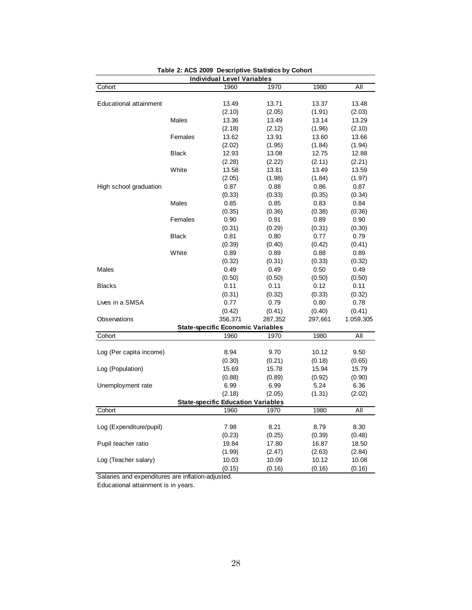|                         |              | <b>Individual Level Variables</b>         |         |         |           |
|-------------------------|--------------|-------------------------------------------|---------|---------|-----------|
| Cohort                  |              | 1960                                      | 1970    | 1980    | All       |
|                         |              |                                           |         |         |           |
| Educational attainment  |              | 13.49                                     | 13.71   | 13.37   | 13.48     |
|                         |              | (2.10)                                    | (2.05)  | (1.91)  | (2.03)    |
|                         | Males        | 13.36                                     | 13.49   | 13.14   | 13.29     |
|                         |              | (2.18)                                    | (2.12)  | (1.96)  | (2.10)    |
|                         | Females      | 13.62                                     | 13.91   | 13.60   | 13.66     |
|                         |              | (2.02)                                    | (1.95)  | (1.84)  | (1.94)    |
|                         | <b>Black</b> | 12.93                                     | 13.08   | 12.75   | 12.88     |
|                         |              | (2.28)                                    | (2.22)  | (2.11)  | (2.21)    |
|                         | White        | 13.58                                     | 13.81   | 13.49   | 13.59     |
|                         |              | (2.05)                                    | (1.98)  | (1.84)  | (1.97)    |
| High school graduation  |              | 0.87                                      | 0.88    | 0.86    | 0.87      |
|                         |              | (0.33)                                    | (0.33)  | (0.35)  | (0.34)    |
|                         | <b>Males</b> | 0.85                                      | 0.85    | 0.83    | 0.84      |
|                         |              | (0.35)                                    | (0.36)  | (0.38)  | (0.36)    |
|                         | Females      | 0.90                                      | 0.91    | 0.89    | 0.90      |
|                         |              | (0.31)                                    | (0.29)  | (0.31)  | (0.30)    |
|                         | <b>Black</b> | 0.81                                      | 0.80    | 0.77    | 0.79      |
|                         |              | (0.39)                                    | (0.40)  | (0.42)  | (0.41)    |
|                         | White        | 0.89                                      | 0.89    | 0.88    | 0.89      |
|                         |              | (0.32)                                    | (0.31)  | (0.33)  | (0.32)    |
| <b>Males</b>            |              | 0.49                                      | 0.49    | 0.50    | 0.49      |
|                         |              | (0.50)                                    | (0.50)  | (0.50)  | (0.50)    |
| <b>Blacks</b>           |              | 0.11                                      | 0.11    | 0.12    | 0.11      |
|                         |              | (0.31)                                    | (0.32)  | (0.33)  | (0.32)    |
| Lives in a SMSA         |              | 0.77                                      | 0.79    | 0.80    | 0.78      |
|                         |              | (0.42)                                    | (0.41)  | (0.40)  | (0.41)    |
| Observations            |              | 356,371                                   | 287,352 | 297,661 | 1.059,305 |
|                         |              | <b>State-specific Economic Variables</b>  |         |         |           |
| Cohort                  |              | 1960                                      | 1970    | 1980    | All       |
|                         |              |                                           |         |         |           |
| Log (Per capita income) |              | 8.94                                      | 9.70    | 10.12   | 9.50      |
|                         |              | (0.30)                                    | (0.21)  | (0.18)  | (0.65)    |
| Log (Population)        |              | 15.69                                     | 15.78   | 15.94   | 15.79     |
|                         |              | (0.88)                                    | (0.89)  | (0.92)  | (0.90)    |
| Unemployment rate       |              | 6.99                                      | 6.99    | 5.24    | 6.36      |
|                         |              | (2.18)                                    | (2.05)  | (1.31)  | (2.02)    |
|                         |              | <b>State-specific Education Variables</b> |         |         |           |
| Cohort                  |              | 1960                                      | 1970    | 1980    | All       |
|                         |              |                                           |         |         |           |
| Log (Expenditure/pupil) |              | 7.98                                      | 8.21    | 8.79    | 8.30      |
|                         |              | (0.23)                                    | (0.25)  | (0.39)  | (0.48)    |
| Pupil teacher ratio     |              | 19.84                                     | 17.80   | 16.87   | 18.50     |
|                         |              | (1.99)                                    | (2.47)  | (2.63)  | (2.84)    |
| Log (Teacher salary)    |              | 10.03                                     | 10.09   | 10.12   | 10.08     |
|                         |              | (0.15)                                    | (0.16)  | (0.16)  | (0.16)    |

Table 2: ACS 2009 Descriptive Statistics by Cohort

Salaries and expenditures are inflation-adjusted.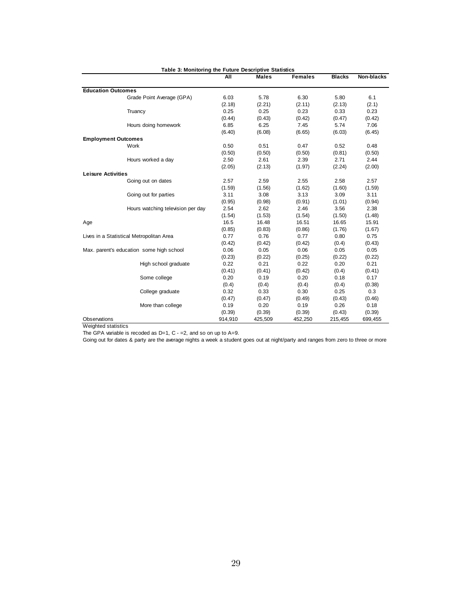| Table 3: Monitoring the Future Descriptive Statistics |                                          |         |              |                |               |            |
|-------------------------------------------------------|------------------------------------------|---------|--------------|----------------|---------------|------------|
|                                                       |                                          | All     | <b>Males</b> | <b>Females</b> | <b>Blacks</b> | Non-blacks |
| <b>Education Outcomes</b>                             |                                          |         |              |                |               |            |
|                                                       | Grade Point Average (GPA)                | 6.03    | 5.78         | 6.30           | 5.80          | 6.1        |
|                                                       |                                          | (2.18)  | (2.21)       | (2.11)         | (2.13)        | (2.1)      |
|                                                       | Truancy                                  | 0.25    | 0.25         | 0.23           | 0.33          | 0.23       |
|                                                       |                                          | (0.44)  | (0.43)       | (0.42)         | (0.47)        | (0.42)     |
|                                                       | Hours doing homework                     | 6.85    | 6.25         | 7.45           | 5.74          | 7.06       |
|                                                       |                                          | (6.40)  | (6.08)       | (6.65)         | (6.03)        | (6.45)     |
|                                                       | <b>Employment Outcomes</b>               |         |              |                |               |            |
|                                                       | Work                                     | 0.50    | 0.51         | 0.47           | 0.52          | 0.48       |
|                                                       |                                          | (0.50)  | (0.50)       | (0.50)         | (0.81)        | (0.50)     |
|                                                       | Hours worked a day                       | 2.50    | 2.61         | 2.39           | 2.71          | 2.44       |
|                                                       |                                          | (2.05)  | (2.13)       | (1.97)         | (2.24)        | (2.00)     |
| <b>Leisure Activities</b>                             |                                          |         |              |                |               |            |
|                                                       | Going out on dates                       | 2.57    | 2.59         | 2.55           | 2.58          | 2.57       |
|                                                       |                                          | (1.59)  | (1.56)       | (1.62)         | (1.60)        | (1.59)     |
|                                                       | Going out for parties                    | 3.11    | 3.08         | 3.13           | 3.09          | 3.11       |
|                                                       |                                          | (0.95)  | (0.98)       | (0.91)         | (1.01)        | (0.94)     |
|                                                       | Hours watching television per day        | 2.54    | 2.62         | 2.46           | 3.56          | 2.38       |
|                                                       |                                          | (1.54)  | (1.53)       | (1.54)         | (1.50)        | (1.48)     |
| Age                                                   |                                          | 16.5    | 16.48        | 16.51          | 16.65         | 15.91      |
|                                                       |                                          | (0.85)  | (0.83)       | (0.86)         | (1.76)        | (1.67)     |
|                                                       | Lives in a Statistical Metropolitan Area | 0.77    | 0.76         | 0.77           | 0.80          | 0.75       |
|                                                       |                                          | (0.42)  | (0.42)       | (0.42)         | (0.4)         | (0.43)     |
|                                                       | Max. parent's education some high school | 0.06    | 0.05         | 0.06           | 0.05          | 0.05       |
|                                                       |                                          | (0.23)  | (0.22)       | (0.25)         | (0.22)        | (0.22)     |
|                                                       | High school graduate                     | 0.22    | 0.21         | 0.22           | 0.20          | 0.21       |
|                                                       |                                          | (0.41)  | (0.41)       | (0.42)         | (0.4)         | (0.41)     |
|                                                       | Some college                             | 0.20    | 0.19         | 0.20           | 0.18          | 0.17       |
|                                                       |                                          | (0.4)   | (0.4)        | (0.4)          | (0.4)         | (0.38)     |
|                                                       | College graduate                         | 0.32    | 0.33         | 0.30           | 0.25          | 0.3        |
|                                                       |                                          | (0.47)  | (0.47)       | (0.49)         | (0.43)        | (0.46)     |
|                                                       | More than college                        | 0.19    | 0.20         | 0.19           | 0.26          | 0.18       |
|                                                       |                                          | (0.39)  | (0.39)       | (0.39)         | (0.43)        | (0.39)     |
| Observations                                          |                                          | 914,910 | 425,509      | 452,250        | 215,455       | 699,455    |

Weighted statistics

The GPA variable is recoded as  $D=1$ , C - = 2, and so on up to A=9.

Going out for dates & party are the average nights a week a student goes out at night/party and ranges from zero to three or more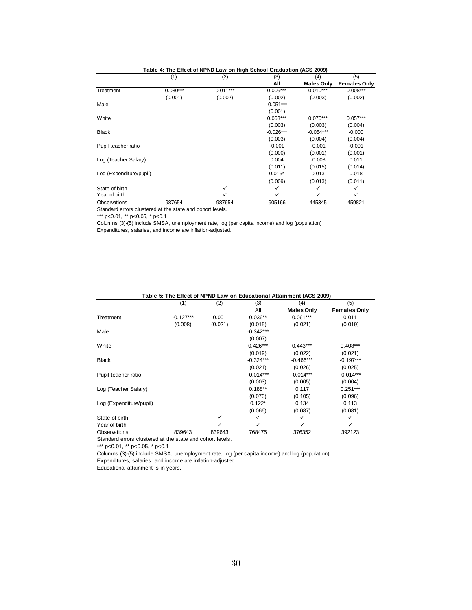|                         | (1)         | (2)        | (3)         | (4)               | (5)                 |
|-------------------------|-------------|------------|-------------|-------------------|---------------------|
|                         |             |            | All         | <b>Males Only</b> | <b>Females Only</b> |
| Treatment               | $-0.030***$ | $0.011***$ | $0.009***$  | $0.010***$        | $0.008***$          |
|                         | (0.001)     | (0.002)    | (0.002)     | (0.003)           | (0.002)             |
| Male                    |             |            | $-0.051***$ |                   |                     |
|                         |             |            | (0.001)     |                   |                     |
| White                   |             |            | $0.063***$  | $0.070***$        | $0.057***$          |
|                         |             |            | (0.003)     | (0.003)           | (0.004)             |
| <b>Black</b>            |             |            | $-0.026***$ | $-0.054***$       | $-0.000$            |
|                         |             |            | (0.003)     | (0.004)           | (0.004)             |
| Pupil teacher ratio     |             |            | $-0.001$    | $-0.001$          | $-0.001$            |
|                         |             |            | (0.000)     | (0.001)           | (0.001)             |
| Log (Teacher Salary)    |             |            | 0.004       | $-0.003$          | 0.011               |
|                         |             |            | (0.011)     | (0.015)           | (0.014)             |
| Log (Expenditure/pupil) |             |            | $0.016*$    | 0.013             | 0.018               |
|                         |             |            | (0.009)     | (0.013)           | (0.011)             |
| State of birth          |             | ✓          | ✓           | ✓                 | ✓                   |
| Year of birth           |             | ✓          | ✓           | ✓                 | ✓                   |
| Observations            | 987654      | 987654     | 905166      | 445345            | 459821              |

| Table 4: The Effect of NPND Law on High School Graduation (ACS 2009) |  |  |  |  |  |
|----------------------------------------------------------------------|--|--|--|--|--|
|                                                                      |  |  |  |  |  |

Standard errors clustered at the state and cohort levels.

\*\*\* p<0.01, \*\* p<0.05, \* p<0.1

Columns (3)-(5) include SMSA, unemployment rate, log (per capita income) and log (population) Expenditures, salaries, and income are inflation-adjusted.

|                         | (1)         | (2)     | (3)         | (4)               | (5)                 |
|-------------------------|-------------|---------|-------------|-------------------|---------------------|
|                         |             |         | All         | <b>Males Only</b> | <b>Females Only</b> |
| Treatment               | $-0.127***$ | 0.001   | $0.036**$   | $0.061***$        | 0.011               |
|                         | (0.008)     | (0.021) | (0.015)     | (0.021)           | (0.019)             |
| Male                    |             |         | $-0.342***$ |                   |                     |
|                         |             |         | (0.007)     |                   |                     |
| White                   |             |         | $0.426***$  | $0.443***$        | $0.408***$          |
|                         |             |         | (0.019)     | (0.022)           | (0.021)             |
| <b>Black</b>            |             |         | $-0.324***$ | $-0.466***$       | $-0.197***$         |
|                         |             |         | (0.021)     | (0.026)           | (0.025)             |
| Pupil teacher ratio     |             |         | $-0.014***$ | $-0.014***$       | $-0.014***$         |
|                         |             |         | (0.003)     | (0.005)           | (0.004)             |
| Log (Teacher Salary)    |             |         | $0.188**$   | 0.117             | $0.251***$          |
|                         |             |         | (0.076)     | (0.105)           | (0.096)             |
| Log (Expenditure/pupil) |             |         | $0.122*$    | 0.134             | 0.113               |
|                         |             |         | (0.066)     | (0.087)           | (0.081)             |
| State of birth          |             | ✓       | ✓           | ✓                 | ✓                   |
| Year of birth           |             | ✓       | ✓           | ✓                 | ✓                   |
| Observations            | 839643      | 839643  | 768475      | 376352            | 392123              |

 **Table 5: The Effect of NPND Law on Educational Attainment (ACS 2009)**

Standard errors clustered at the state and cohort levels.

\*\*\* p<0.01, \*\* p<0.05, \* p<0.1

Columns (3)-(5) include SMSA, unemployment rate, log (per capita income) and log (population)

Expenditures, salaries, and income are inflation-adjusted.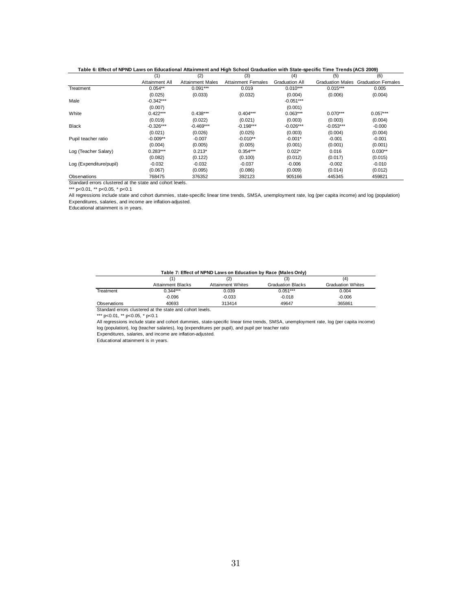|                         | (1)            | (2)                     | (3)                       | (4)                   | (5)                     | (6)                       |
|-------------------------|----------------|-------------------------|---------------------------|-----------------------|-------------------------|---------------------------|
|                         | Attainment All | <b>Attainment Males</b> | <b>Attainment Females</b> | <b>Graduation All</b> | <b>Graduation Males</b> | <b>Graduation Females</b> |
| Treatment               | $0.054**$      | $0.091***$              | 0.019                     | $0.010***$            | $0.015***$              | 0.005                     |
|                         | (0.025)        | (0.033)                 | (0.032)                   | (0.004)               | (0.006)                 | (0.004)                   |
| Male                    | $-0.342***$    |                         |                           | $-0.051***$           |                         |                           |
|                         | (0.007)        |                         |                           | (0.001)               |                         |                           |
| White                   | $0.422***$     | $0.438***$              | $0.404***$                | $0.063***$            | $0.070***$              | $0.057***$                |
|                         | (0.019)        | (0.022)                 | (0.021)                   | (0.003)               | (0.003)                 | (0.004)                   |
| <b>Black</b>            | $-0.326***$    | $-0.469***$             | $-0.198***$               | $-0.026***$           | $-0.053***$             | $-0.000$                  |
|                         | (0.021)        | (0.026)                 | (0.025)                   | (0.003)               | (0.004)                 | (0.004)                   |
| Pupil teacher ratio     | $-0.009**$     | $-0.007$                | $-0.010**$                | $-0.001*$             | $-0.001$                | $-0.001$                  |
|                         | (0.004)        | (0.005)                 | (0.005)                   | (0.001)               | (0.001)                 | (0.001)                   |
| Log (Teacher Salary)    | $0.283***$     | $0.213*$                | $0.354***$                | $0.022*$              | 0.016                   | $0.030**$                 |
|                         | (0.082)        | (0.122)                 | (0.100)                   | (0.012)               | (0.017)                 | (0.015)                   |
| Log (Expenditure/pupil) | $-0.032$       | $-0.032$                | $-0.037$                  | $-0.006$              | $-0.002$                | $-0.010$                  |
|                         | (0.067)        | (0.095)                 | (0.086)                   | (0.009)               | (0.014)                 | (0.012)                   |
| Observations            | 768475         | 376352                  | 392123                    | 905166                | 445345                  | 459821                    |

 **Table 6: Effect of NPND Laws on Educational Attainment and High School Graduation with State-specific Time Trends (ACS 2009)**

Standard errors clustered at the state and cohort levels.

\*\*\* p<0.01, \*\* p<0.05, \* p<0.1

All regressions include state and cohort dummies, state-specific linear time trends, SMSA, unemployment rate, log (per capita income) and log (population) Expenditures, salaries, and income are inflation-adjusted.

Educational attainment is in years.

#### **Table 7: Effect of NPND Laws on Education by Race (Males Only)**

|              |                          |                          | . .                      |                          |
|--------------|--------------------------|--------------------------|--------------------------|--------------------------|
|              |                          |                          | (3)                      | (4)                      |
|              | <b>Attainment Blacks</b> | <b>Attainment Whites</b> | <b>Graduation Blacks</b> | <b>Graduation Whites</b> |
| Treatment    | $0.344***$               | 0.039                    | $0.051***$               | 0.004                    |
|              | $-0.096$                 | $-0.033$                 | $-0.018$                 | $-0.006$                 |
| Observations | 40693                    | 313414                   | 49647                    | 365861                   |
| .            |                          |                          |                          |                          |

Standard errors clustered at the state and cohort levels.

\*\*\* p<0.01, \*\* p<0.05, \* p<0.1

All regressions include state and cohort dummies, state-specific linear time trends, SMSA, unemployment rate, log (per capita income) log (population), log (teacher salaries), log (expenditures per pupil), and pupil per teacher ratio Expenditures, salaries, and income are inflation-adjusted.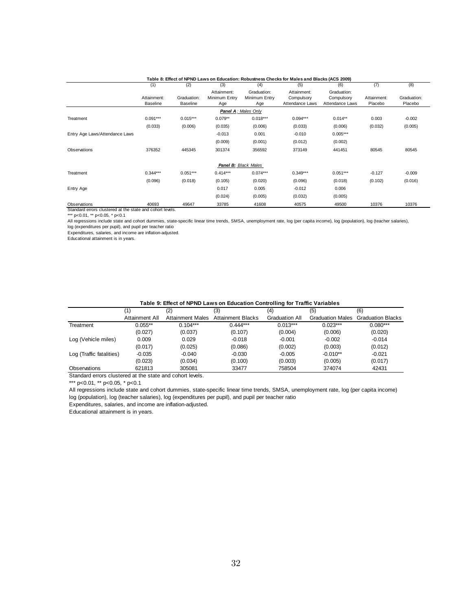|                                |                         |                                |                                     |                                     | Table 8: Effect of NPND Laws on Education: Robustness Checks for Males and Blacks (ACS 2009) |                                              |                        |                        |
|--------------------------------|-------------------------|--------------------------------|-------------------------------------|-------------------------------------|----------------------------------------------------------------------------------------------|----------------------------------------------|------------------------|------------------------|
|                                | (1)                     | (2)                            | (3)                                 | (4)                                 | (5)                                                                                          | (6)                                          | (7)                    | (8)                    |
|                                | Attainment:<br>Baseline | Graduation:<br><b>Baseline</b> | Attainment:<br>Minimum Entry<br>Age | Graduation:<br>Minimum Entry<br>Age | Attainment:<br>Compulsory<br>Attendance Laws                                                 | Graduation:<br>Compulsory<br>Attendance Laws | Attainment:<br>Placebo | Graduation:<br>Placebo |
|                                |                         |                                |                                     | Panel A: Males Only                 |                                                                                              |                                              |                        |                        |
| Treatment                      | $0.091***$              | $0.015***$                     | $0.079**$                           | $0.018***$                          | $0.094***$                                                                                   | $0.014**$                                    | 0.003                  | $-0.002$               |
|                                | (0.033)                 | (0.006)                        | (0.035)                             | (0.006)                             | (0.033)                                                                                      | (0.006)                                      | (0.032)                | (0.005)                |
| Entry Age Laws/Attendance Laws |                         |                                | $-0.013$                            | 0.001                               | $-0.010$                                                                                     | $0.005***$                                   |                        |                        |
|                                |                         |                                | (0.009)                             | (0.001)                             | (0.012)                                                                                      | (0.002)                                      |                        |                        |
| Observations                   | 376352                  | 445345                         | 301374                              | 356592                              | 373149                                                                                       | 441451                                       | 80545                  | 80545                  |
|                                |                         |                                |                                     | Panel B: Black Males                |                                                                                              |                                              |                        |                        |
| Treatment                      | $0.344***$              | $0.051***$                     | $0.414***$                          | $0.074***$                          | $0.349***$                                                                                   | $0.051***$                                   | $-0.127$               | $-0.009$               |
|                                | (0.096)                 | (0.018)                        | (0.105)                             | (0.020)                             | (0.096)                                                                                      | (0.018)                                      | (0.102)                | (0.016)                |
| Entry Age                      |                         |                                | 0.017                               | 0.005                               | $-0.012$                                                                                     | 0.006                                        |                        |                        |
|                                |                         |                                | (0.024)                             | (0.005)                             | (0.032)                                                                                      | (0.005)                                      |                        |                        |
| Observations                   | 40693                   | 49647                          | 33785                               | 41608                               | 40575                                                                                        | 49500                                        | 10376                  | 10376                  |

Standard errors clustered at the state and cohort levels.

\*\*\* p<0.01, \*\* p<0.05, \* p<0.1

All regressions include state and cohort dummies, state-specific linear time trends, SMSA, unemployment rate, log (per capita income), log (population), log (teacher salaries),

log (expenditures per pupil), and pupil per teacher ratio

Expenditures, salaries, and income are inflation-adjusted. Educational attainment is in years.

| Table 9: Effect of NPND Laws on Education Controlling for Traffic Variables |  |
|-----------------------------------------------------------------------------|--|
|-----------------------------------------------------------------------------|--|

|                          | (1)            | (2)              | (3)               | (4)            | (5)                     | (6)                      |
|--------------------------|----------------|------------------|-------------------|----------------|-------------------------|--------------------------|
|                          | Attainment All | Attainment Males | Attainment Blacks | Graduation All | <b>Graduation Males</b> | <b>Graduation Blacks</b> |
| Treatment                | $0.055**$      | $0.104***$       | $0.444***$        | $0.013***$     | $0.023***$              | $0.080***$               |
|                          | (0.027)        | (0.037)          | (0.107)           | (0.004)        | (0.006)                 | (0.020)                  |
| Log (Vehicle miles)      | 0.009          | 0.029            | $-0.018$          | $-0.001$       | $-0.002$                | $-0.014$                 |
|                          | (0.017)        | (0.025)          | (0.086)           | (0.002)        | (0.003)                 | (0.012)                  |
| Log (Traffic fatalities) | $-0.035$       | $-0.040$         | $-0.030$          | $-0.005$       | $-0.010**$              | $-0.021$                 |
|                          | (0.023)        | (0.034)          | (0.100)           | (0.003)        | (0.005)                 | (0.017)                  |
| Observations             | 621813         | 305081           | 33477             | 758504         | 374074                  | 42431                    |

Standard errors clustered at the state and cohort levels.

\*\*\* p<0.01, \*\* p<0.05, \* p<0.1

All regressions include state and cohort dummies, state-specific linear time trends, SMSA, unemployment rate, log (per capita income) log (population), log (teacher salaries), log (expenditures per pupil), and pupil per teacher ratio

Expenditures, salaries, and income are inflation-adjusted.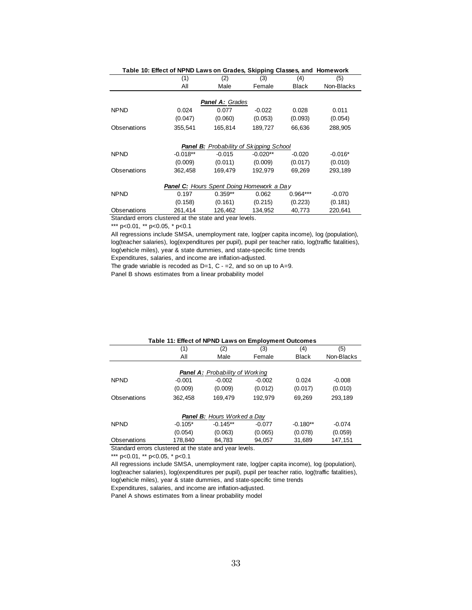|              | Table 10: Effect of NPND Laws on Grades, Skipping Classes, and Homework |                                         |            |              |            |
|--------------|-------------------------------------------------------------------------|-----------------------------------------|------------|--------------|------------|
|              | (1)                                                                     | (2)                                     | (3)        | (4)          | (5)        |
|              | All                                                                     | Male                                    | Female     | <b>Black</b> | Non-Blacks |
|              |                                                                         |                                         |            |              |            |
|              |                                                                         | <b>Panel A: Grades</b>                  |            |              |            |
| <b>NPND</b>  | 0.024                                                                   | 0.077                                   | $-0.022$   | 0.028        | 0.011      |
|              | (0.047)                                                                 | (0.060)                                 | (0.053)    | (0.093)      | (0.054)    |
| Observations | 355,541                                                                 | 165,814                                 | 189,727    | 66,636       | 288,905    |
|              |                                                                         | Panel B: Probability of Skipping School |            |              |            |
| <b>NPND</b>  | $-0.018**$                                                              | $-0.015$                                | $-0.020**$ | $-0.020$     | $-0.016*$  |
|              | (0.009)                                                                 | (0.011)                                 | (0.009)    | (0.017)      | (0.010)    |
| Observations | 362,458                                                                 | 169,479                                 | 192,979    | 69,269       | 293,189    |
|              | <b>Panel C:</b> Hours Spent Doing Homework a Day                        |                                         |            |              |            |
| <b>NPND</b>  | 0.197                                                                   | $0.359**$                               | 0.062      | $0.964***$   | $-0.070$   |
|              | (0.158)                                                                 | (0.161)                                 | (0.215)    | (0.223)      | (0.181)    |
| Observations | 261,414                                                                 | 126,462                                 | 134,952    | 40,773       | 220,641    |
|              | Standard errors clustered at the state and year levels.                 |                                         |            |              |            |

\*\*\* p<0.01, \*\* p<0.05, \* p<0.1

All regressions include SMSA, unemployment rate, log(per capita income), log (population), log(teacher salaries), log(expenditures per pupil), pupil per teacher ratio, log(traffic fatalities), log(vehicle miles), year & state dummies, and state-specific time trends Expenditures, salaries, and income are inflation-adjusted.

The grade variable is recoded as  $D=1$ ,  $C = 2$ , and so on up to A=9.

Panel B shows estimates from a linear probability model

|              | Table 11: Effect of NPND Laws on Employment Outcomes |                                        |          |              |            |
|--------------|------------------------------------------------------|----------------------------------------|----------|--------------|------------|
|              | (1)                                                  | (2)                                    | (3)      | (4)          | (5)        |
|              | All                                                  | Male                                   | Female   | <b>Black</b> | Non-Blacks |
|              |                                                      | <b>Panel A:</b> Probability of Working |          |              |            |
| <b>NPND</b>  | $-0.001$                                             | $-0.002$                               | $-0.002$ | 0.024        | $-0.008$   |
|              | (0.009)                                              | (0.009)                                | (0.012)  | (0.017)      | (0.010)    |
| Observations | 362,458                                              | 169,479                                | 192,979  | 69,269       | 293,189    |
|              |                                                      | <b>Panel B:</b> Hours Worked a Day     |          |              |            |
| <b>NPND</b>  | $-0.105*$                                            | $-0.145**$                             | $-0.077$ | $-0.180**$   | $-0.074$   |
|              | (0.054)                                              | (0.063)                                | (0.065)  | (0.078)      | (0.059)    |
| Observations | 178,840                                              | 84.783                                 | 94.057   | 31.689       | 147.151    |

Standard errors clustered at the state and year levels.

\*\*\* p<0.01, \*\* p<0.05, \* p<0.1

All regressions include SMSA, unemployment rate, log(per capita income), log (population), log(teacher salaries), log(expenditures per pupil), pupil per teacher ratio, log(traffic fatalities), log(vehicle miles), year & state dummies, and state-specific time trends

Expenditures, salaries, and income are inflation-adjusted.

Panel A shows estimates from a linear probability model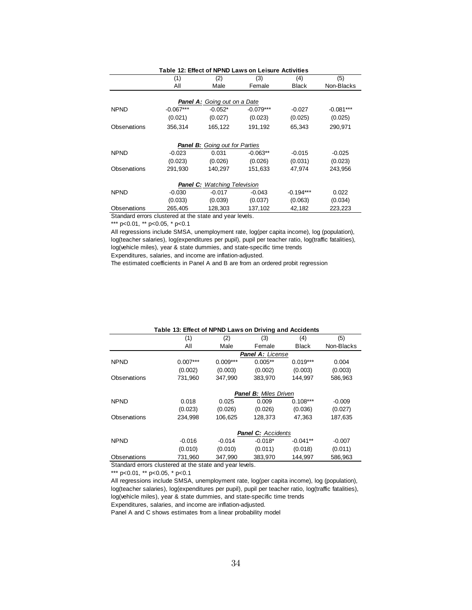| Table 12: Effect of NPND Laws on Leisure Activities     |             |           |             |              |             |  |  |  |
|---------------------------------------------------------|-------------|-----------|-------------|--------------|-------------|--|--|--|
|                                                         | (1)         | (5)       |             |              |             |  |  |  |
|                                                         | All         | Male      | Female      | <b>Black</b> | Non-Blacks  |  |  |  |
|                                                         |             |           |             |              |             |  |  |  |
| <b>Panel A:</b> Going out on a Date                     |             |           |             |              |             |  |  |  |
| <b>NPND</b>                                             | $-0.067***$ | $-0.052*$ | $-0.079***$ | $-0.027$     | $-0.081***$ |  |  |  |
|                                                         | (0.021)     | (0.027)   | (0.023)     | (0.025)      | (0.025)     |  |  |  |
| Observations                                            | 356,314     | 165,122   | 191,192     | 65,343       | 290,971     |  |  |  |
| <b>Panel B:</b> Going out for Parties                   |             |           |             |              |             |  |  |  |
| <b>NPND</b>                                             |             |           |             |              |             |  |  |  |
|                                                         | $-0.023$    | 0.031     | $-0.063**$  | $-0.015$     | $-0.025$    |  |  |  |
|                                                         | (0.023)     | (0.026)   | (0.026)     | (0.031)      | (0.023)     |  |  |  |
| Observations                                            | 291,930     | 140,297   | 151,633     | 47,974       | 243,956     |  |  |  |
| <b>Panel C:</b> Watching Television                     |             |           |             |              |             |  |  |  |
| <b>NPND</b>                                             | $-0.030$    | $-0.017$  | $-0.043$    | $-0.194***$  | 0.022       |  |  |  |
|                                                         | (0.033)     | (0.039)   | (0.037)     | (0.063)      | (0.034)     |  |  |  |
| Observations                                            | 265,405     | 128,303   | 137,102     | 42,182       | 223,223     |  |  |  |
| Standard errors clustered at the state and year levels. |             |           |             |              |             |  |  |  |

\*\*\* p<0.01, \*\* p<0.05, \* p<0.1

All regressions include SMSA, unemployment rate, log(per capita income), log (population), log(teacher salaries), log(expenditures per pupil), pupil per teacher ratio, log(traffic fatalities), log(vehicle miles), year & state dummies, and state-specific time trends

Expenditures, salaries, and income are inflation-adjusted.

The estimated coefficients in Panel A and B are from an ordered probit regression

|              | ישטוס ויט. בווטטג טו ויט בעזו ט בעוואר וואן מווע הטטוסטוווט |            |                              |              |            |  |
|--------------|-------------------------------------------------------------|------------|------------------------------|--------------|------------|--|
|              | (1)                                                         | (2)        | (3)                          | (4)          | (5)        |  |
|              | All                                                         | Male       | Female                       | <b>Black</b> | Non-Blacks |  |
|              |                                                             |            | <b>Panel A: License</b>      |              |            |  |
| <b>NPND</b>  | $0.007***$                                                  | $0.009***$ | $0.005**$                    | $0.019***$   | 0.004      |  |
|              | (0.002)                                                     | (0.003)    | (0.002)                      | (0.003)      | (0.003)    |  |
| Observations | 731,960                                                     | 347,990    | 383,970                      | 144,997      | 586,963    |  |
|              |                                                             |            | <b>Panel B:</b> Miles Driven |              |            |  |
| <b>NPND</b>  | 0.018                                                       | 0.025      | 0.009                        | $0.108***$   | $-0.009$   |  |
|              | (0.023)                                                     | (0.026)    | (0.026)                      | (0.036)      | (0.027)    |  |
| Observations | 234.998                                                     | 106.625    | 128,373                      | 47.363       | 187.635    |  |
|              | <b>Panel C:</b> Accidents                                   |            |                              |              |            |  |
| <b>NPND</b>  | $-0.016$                                                    | $-0.014$   | $-0.018*$                    | $-0.041**$   | $-0.007$   |  |
|              | (0.010)                                                     | (0.010)    | (0.011)                      | (0.018)      | (0.011)    |  |
| Observations | 731,960                                                     | 347,990    | 383,970                      | 144,997      | 586,963    |  |

#### **Table 13: Effect of NPND Laws on Driving and Accidents**

Standard errors clustered at the state and year levels.

\*\*\* p<0.01, \*\* p<0.05, \* p<0.1

All regressions include SMSA, unemployment rate, log(per capita income), log (population), log(teacher salaries), log(expenditures per pupil), pupil per teacher ratio, log(traffic fatalities), log(vehicle miles), year & state dummies, and state-specific time trends

Expenditures, salaries, and income are inflation-adjusted.

Panel A and C shows estimates from a linear probability model